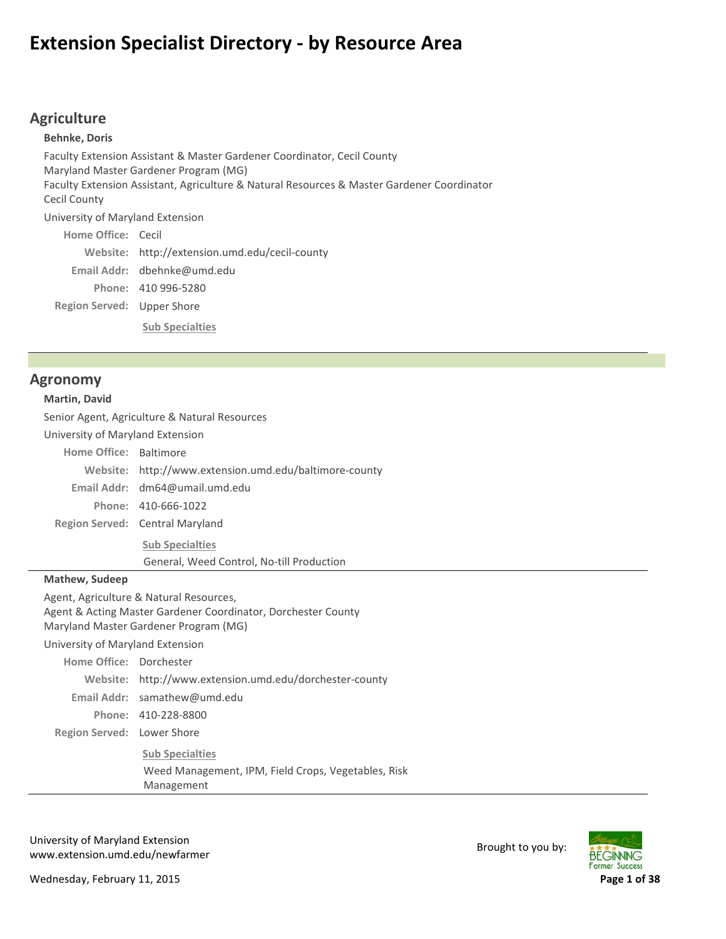# **Extension Specialist Directory ‐ by Resource Area**

# **Agriculture**

Region Served: Upper Shore **Behnke, Doris** Faculty Extension Assistant & Master Gardener Coordinator, Cecil County Maryland Master Gardener Program (MG) Faculty Extension Assistant, Agriculture & Natural Resources & Master Gardener Coordinator Cecil County University of Maryland Extension Home Office: Cecil http://extension.umd.edu/cecil‐county **Website:** dbehnke@umd.edu **Email Addr:** 410 996‐5280 **Phone:**

**Sub Specialties**

### **Agronomy**

#### **Martin, David**

Senior Agent, Agriculture & Natural Resources

University of Maryland Extension

Home Office: Baltimore

http://www.extension.umd.edu/baltimore‐county **Website:**

dm64@umail.umd.edu **Email Addr:**

410‐666‐1022 **Phone:**

Region Served: Central Maryland

**Sub Specialties** General, Weed Control, No‐till Production

**Mathew, Sudeep**

Agent, Agriculture & Natural Resources,

Agent & Acting Master Gardener Coordinator, Dorchester County

Maryland Master Gardener Program (MG)

University of Maryland Extension

| Home Office: Dorchester    |                                                     |
|----------------------------|-----------------------------------------------------|
| Website:                   | http://www.extension.umd.edu/dorchester-county      |
|                            | Email Addr: $samathew@umd.edu$                      |
|                            | Phone: 410-228-8800                                 |
| Region Served: Lower Shore |                                                     |
|                            | <b>Sub Specialties</b>                              |
|                            | Weed Management, IPM, Field Crops, Vegetables, Risk |
|                            | Management                                          |

University of Maryland Extension www.extension.umd.edu/newfarmer Brought to you by:



Wednesday, February 11, 2015 **Page 1 of 38**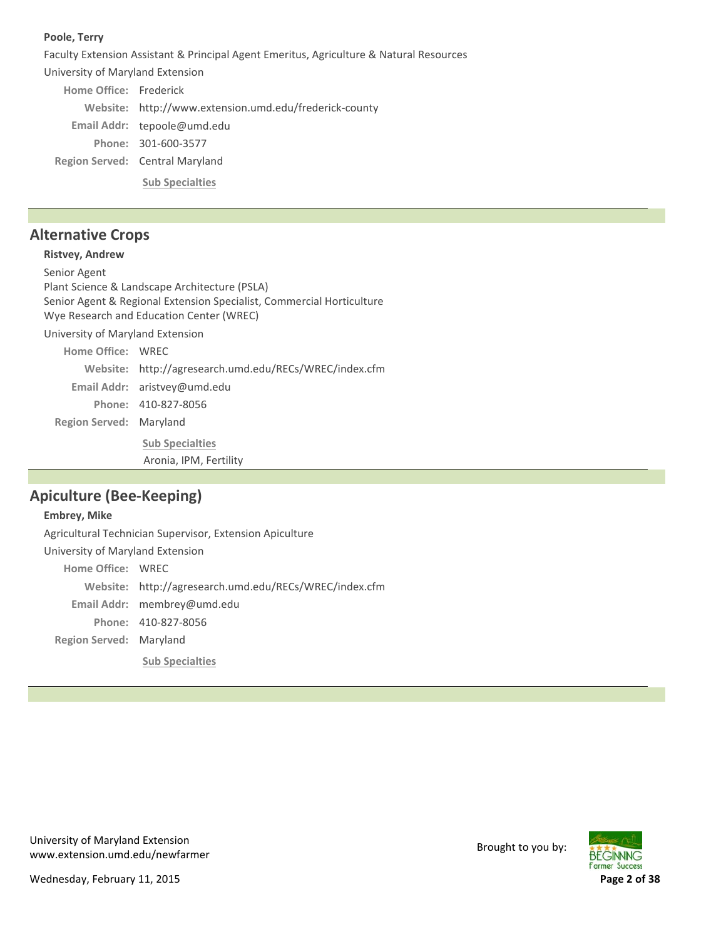#### **Poole, Terry**

Faculty Extension Assistant & Principal Agent Emeritus, Agriculture & Natural Resources

University of Maryland Extension

Region Served: Central Maryland Home Office: Frederick Website: http://www.extension.umd.edu/frederick-county Email Addr: tepoole@umd.edu 301‐600‐3577 **Phone: Sub Specialties**

# **Alternative Crops**

## **Ristvey, Andrew**

**Region Served: Maryland** Senior Agent Plant Science & Landscape Architecture (PSLA) Senior Agent & Regional Extension Specialist, Commercial Horticulture Wye Research and Education Center (WREC) University of Maryland Extension Home Office: WREC http://agresearch.umd.edu/RECs/WREC/index.cfm **Website:** Email Addr: aristvey@umd.edu 410‐827‐8056 **Phone: Sub Specialties**

Aronia, IPM, Fertility

# **Apiculture (Bee‐Keeping)**

## **Embrey, Mike**

**Region Served: Maryland** Agricultural Technician Supervisor, Extension Apiculture University of Maryland Extension Home Office: WREC http://agresearch.umd.edu/RECs/WREC/index.cfm **Website:** membrey@umd.edu **Email Addr:** 410‐827‐8056 **Phone: Sub Specialties**

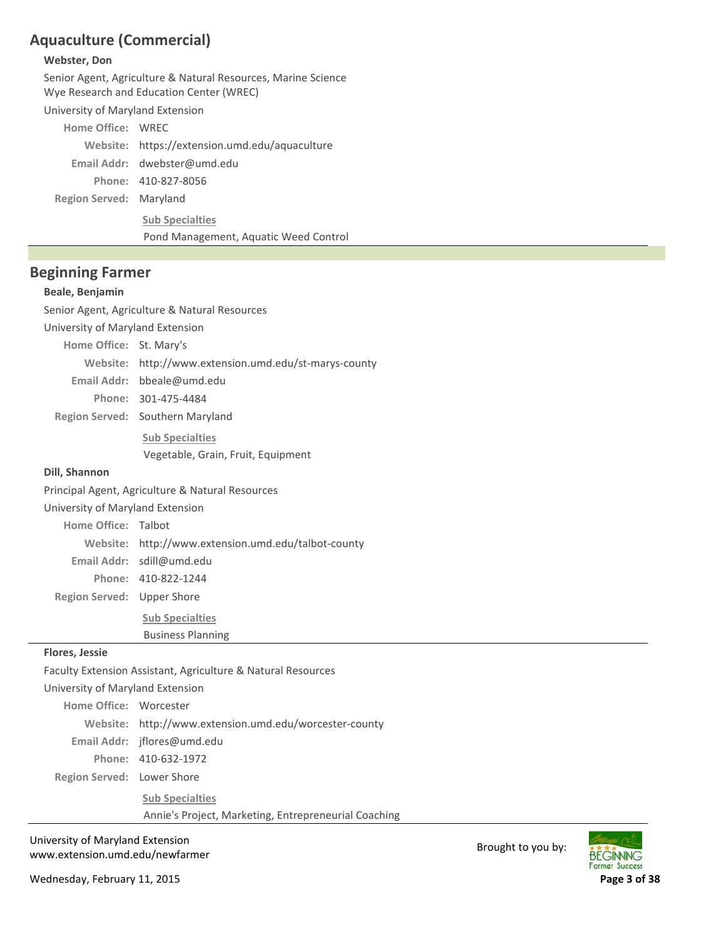# **Aquaculture (Commercial)**

#### **Webster, Don**

**Region Served: Maryland** Senior Agent, Agriculture & Natural Resources, Marine Science Wye Research and Education Center (WREC) University of Maryland Extension Home Office: WREC Website: https://extension.umd.edu/aquaculture dwebster@umd.edu **Email Addr:** 410‐827‐8056 **Phone: Sub Specialties** Pond Management, Aquatic Weed Control

### **Beginning Farmer**

#### **Beale, Benjamin**

Senior Agent, Agriculture & Natural Resources

University of Maryland Extension

| Home Office: St. Mary's |                                                       |
|-------------------------|-------------------------------------------------------|
|                         | Website: http://www.extension.umd.edu/st-marys-county |
|                         | Email Addr: bbeale@umd.edu                            |
|                         | Phone: 301-475-4484                                   |
|                         | Region Served: Southern Maryland                      |

**Sub Specialties** Vegetable, Grain, Fruit, Equipment

#### **Dill, Shannon**

Principal Agent, Agriculture & Natural Resources

University of Maryland Extension

Home Office: Talbot

http://www.extension.umd.edu/talbot‐county **Website:**

sdill@umd.edu **Email Addr:**

410‐822‐1244 **Phone:**

Region Served: Upper Shore

**Sub Specialties** Business Planning

#### **Flores, Jessie**

Faculty Extension Assistant, Agriculture & Natural Resources University of Maryland Extension Home Office: Worcester http://www.extension.umd.edu/worcester‐county **Website:** jflores@umd.edu **Email Addr:** 410‐632‐1972 **Phone:**

Region Served: Lower Shore

**Sub Specialties**

Annie's Project, Marketing, Entrepreneurial Coaching

University of Maryland Extension www.extension.umd.edu/newfarmer Brought to you by:

Wednesday, February 11, 2015 **Page 3 of 38**

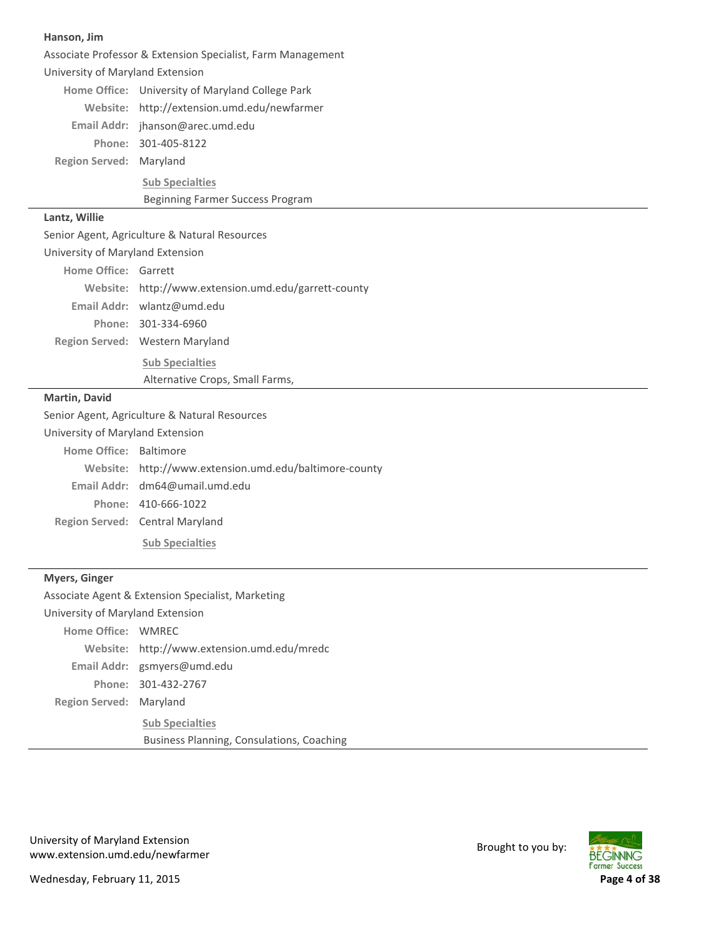| Hanson, Jim |  |
|-------------|--|
|-------------|--|

| Associate Professor & Extension Specialist, Farm Management |                                                        |  |
|-------------------------------------------------------------|--------------------------------------------------------|--|
| University of Maryland Extension                            |                                                        |  |
|                                                             | Home Office: University of Maryland College Park       |  |
|                                                             | Website: http://extension.umd.edu/newfarmer            |  |
|                                                             | Email Addr: jhanson@arec.umd.edu                       |  |
|                                                             | Phone: 301-405-8122                                    |  |
| Region Served: Maryland                                     |                                                        |  |
|                                                             | <b>Sub Specialties</b>                                 |  |
|                                                             | Beginning Farmer Success Program                       |  |
| Lantz, Willie                                               |                                                        |  |
|                                                             | Senior Agent, Agriculture & Natural Resources          |  |
| University of Maryland Extension                            |                                                        |  |
| Home Office: Garrett                                        |                                                        |  |
|                                                             | Website: http://www.extension.umd.edu/garrett-county   |  |
|                                                             | Email Addr: wlantz@umd.edu                             |  |
|                                                             | Phone: 301-334-6960                                    |  |
|                                                             | Region Served: Western Maryland                        |  |
| <b>Sub Specialties</b>                                      |                                                        |  |
| Alternative Crops, Small Farms,                             |                                                        |  |
| <b>Martin, David</b>                                        |                                                        |  |
| Senior Agent, Agriculture & Natural Resources               |                                                        |  |
| University of Maryland Extension                            |                                                        |  |
| Home Office: Baltimore                                      |                                                        |  |
|                                                             | Website: http://www.extension.umd.edu/baltimore-county |  |
|                                                             | Email Addr: dm64@umail.umd.edu                         |  |

410‐666‐1022 **Phone:**

Region Served: Central Maryland

**Sub Specialties**

## **Myers, Ginger**

| Associate Agent & Extension Specialist, Marketing |                                             |  |
|---------------------------------------------------|---------------------------------------------|--|
| University of Maryland Extension                  |                                             |  |
| Home Office: WMREC                                |                                             |  |
|                                                   | Website: http://www.extension.umd.edu/mredc |  |
|                                                   | Email Addr: gsmyers@umd.edu                 |  |
|                                                   | Phone: 301-432-2767                         |  |
| Region Served: Maryland                           |                                             |  |
|                                                   | <b>Sub Specialties</b>                      |  |
|                                                   | Business Planning, Consulations, Coaching   |  |

University of Maryland Extension University of Maryland Extension<br>www.extension.umd.edu/newfarmer Brought to you by:



Wednesday, February 11, 2015 **Page 4 of 38**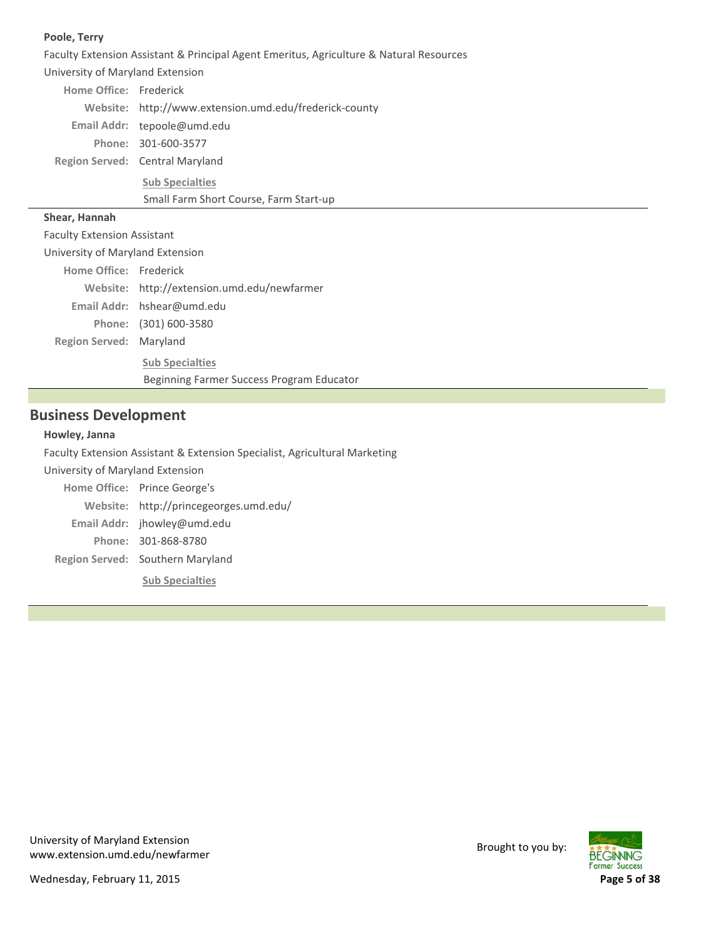#### **Poole, Terry**

Faculty Extension Assistant & Principal Agent Emeritus, Agriculture & Natural Resources University of Maryland Extension Home Office: Frederick Website: http://www.extension.umd.edu/frederick-county Email Addr: tepoole@umd.edu 301‐600‐3577 **Phone:**

Region Served: Central Maryland **Sub Specialties**

#### Small Farm Short Course, Farm Start‐up

#### **Shear, Hannah**

| <b>Faculty Extension Assistant</b> |                                             |  |
|------------------------------------|---------------------------------------------|--|
| University of Maryland Extension   |                                             |  |
| Home Office: Frederick             |                                             |  |
|                                    | Website: http://extension.umd.edu/newfarmer |  |
|                                    | Email Addr: hshear@umd.edu                  |  |
|                                    | Phone: (301) 600-3580                       |  |
| Region Served: Maryland            |                                             |  |
|                                    | <b>Sub Specialties</b>                      |  |
|                                    | Beginning Farmer Success Program Educator   |  |

# **Business Development**

#### **Howley, Janna**

Faculty Extension Assistant & Extension Specialist, Agricultural Marketing

University of Maryland Extension

| Home Office: Prince George's           |
|----------------------------------------|
| Website: http://princegeorges.umd.edu/ |
| Email Addr: jhowley@umd.edu            |
| Phone: 301-868-8780                    |
| Region Served: Southern Maryland       |
| <b>Sub Specialties</b>                 |

University of Maryland Extension oniversity of iviaryland extension<br>www.extension.umd.edu/newfarmer Brought to you by:

**BEGINNING Farmer Success** 

Wednesday, February 11, 2015 **Page 5 of 38**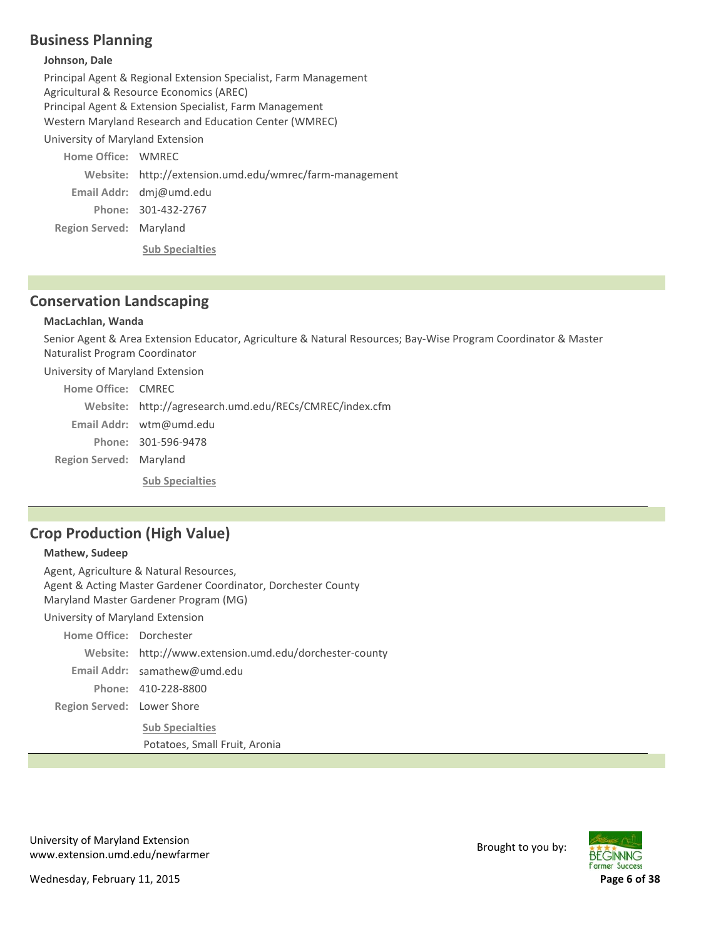# **Business Planning**

#### **Johnson, Dale**

Principal Agent & Regional Extension Specialist, Farm Management Agricultural & Resource Economics (AREC) Principal Agent & Extension Specialist, Farm Management Western Maryland Research and Education Center (WMREC) University of Maryland Extension

**Region Served: Maryland Home Office: WMREC** http://extension.umd.edu/wmrec/farm‐management **Website:** Email Addr: dmj@umd.edu 301‐432‐2767 **Phone: Sub Specialties**

## **Conservation Landscaping**

### **MacLachlan, Wanda**

Senior Agent & Area Extension Educator, Agriculture & Natural Resources; Bay‐Wise Program Coordinator & Master Naturalist Program Coordinator

University of Maryland Extension

| Home Office: CMREC      |                                                         |
|-------------------------|---------------------------------------------------------|
|                         | Website: http://agresearch.umd.edu/RECs/CMREC/index.cfm |
|                         | Email Addr: $wtm@umd.edu$                               |
|                         | Phone: 301-596-9478                                     |
| Region Served: Maryland |                                                         |
|                         | <b>Sub Specialties</b>                                  |

# **Crop Production (High Value)**

#### **Mathew, Sudeep**

Region Served: Lower Shore Agent, Agriculture & Natural Resources, Agent & Acting Master Gardener Coordinator, Dorchester County Maryland Master Gardener Program (MG) University of Maryland Extension Home Office: Dorchester Website: http://www.extension.umd.edu/dorchester-county samathew@umd.edu **Email Addr:** 410‐228‐8800 **Phone: Sub Specialties** Potatoes, Small Fruit, Aronia

University of Maryland Extension www.extension.umd.edu/newfarmer Brought to you by:

**BEGINNING Former Success** 

Wednesday, February 11, 2015 **Page 6 of 38**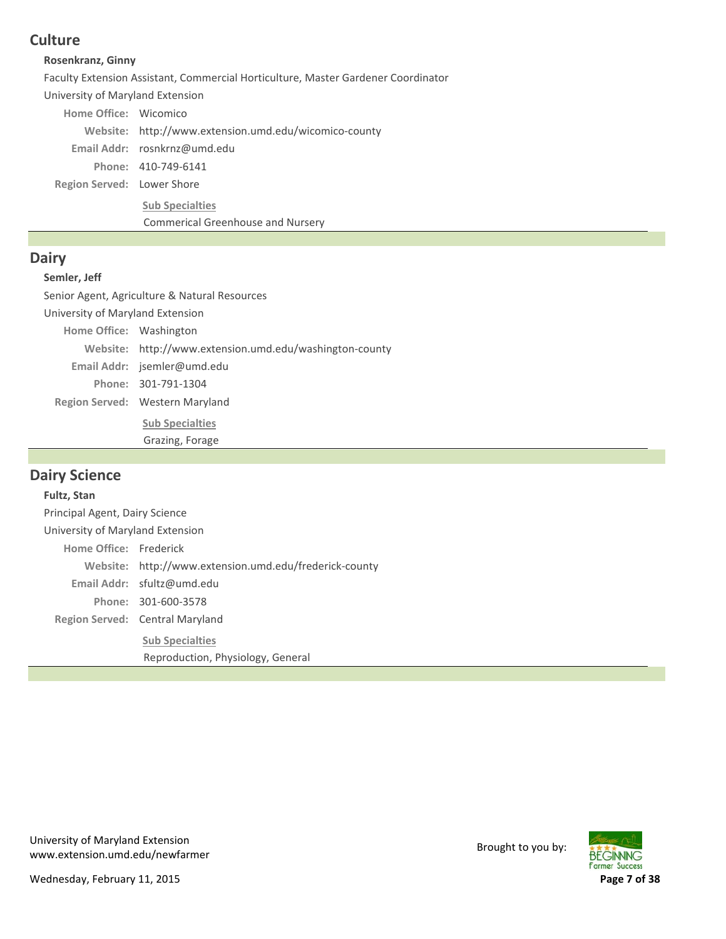# **Culture**

### **Rosenkranz, Ginny**

Faculty Extension Assistant, Commercial Horticulture, Master Gardener Coordinator

University of Maryland Extension

Home Office: Wicomico

Website: http://www.extension.umd.edu/wicomico-county

rosnkrnz@umd.edu **Email Addr:**

410‐749‐6141 **Phone:**

Region Served: Lower Shore

**Sub Specialties**

Commerical Greenhouse and Nursery

## **Dairy**

### **Semler, Jeff**

Senior Agent, Agriculture & Natural Resources

Region Served: Western Maryland University of Maryland Extension Home Office: Washington Website: http://www.extension.umd.edu/washington-county Email Addr: jsemler@umd.edu 301‐791‐1304 **Phone:**

> **Sub Specialties** Grazing, Forage

## **Dairy Science**

# Region Served: Central Maryland **Fultz, Stan** Principal Agent, Dairy Science University of Maryland Extension Home Office: Frederick http://www.extension.umd.edu/frederick‐county **Website:** sfultz@umd.edu **Email Addr:** 301‐600‐3578 **Phone: Sub Specialties** Reproduction, Physiology, General

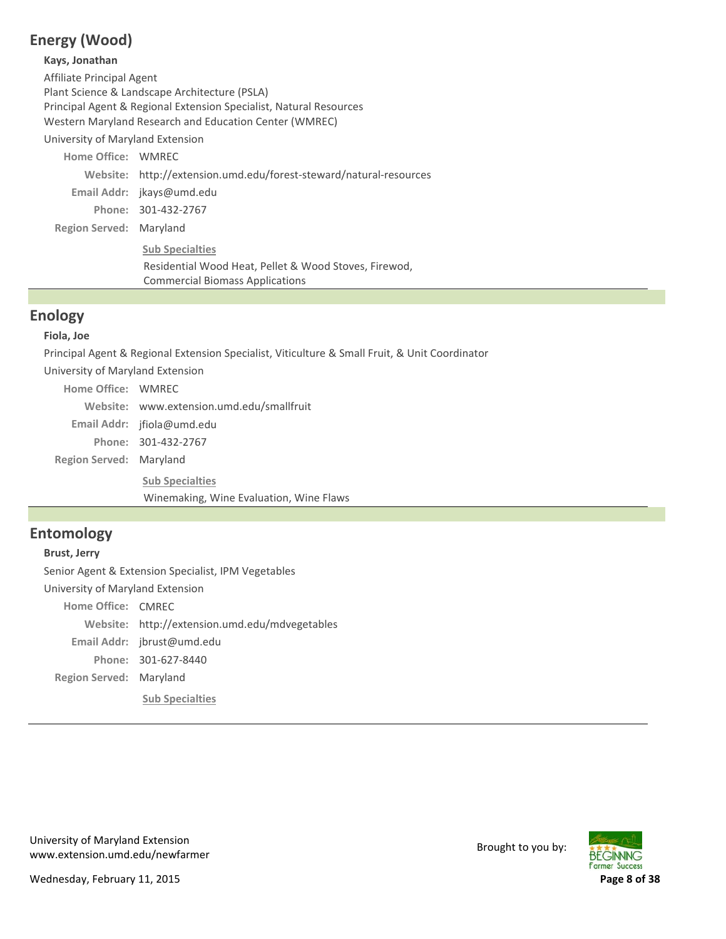# **Energy (Wood)**

#### **Kays, Jonathan**

Affiliate Principal Agent Plant Science & Landscape Architecture (PSLA) Principal Agent & Regional Extension Specialist, Natural Resources Western Maryland Research and Education Center (WMREC)

University of Maryland Extension

| Home Office: WMREC        |                                                                    |
|---------------------------|--------------------------------------------------------------------|
|                           | Website: http://extension.umd.edu/forest-steward/natural-resources |
| Email Addr: jkays@umd.edu |                                                                    |
|                           | Phone: 301-432-2767                                                |
| Region Served: Maryland   |                                                                    |
|                           | <b>Sub Specialties</b>                                             |
|                           | Residential Wood Heat, Pellet & Wood Stoves, Firewod,              |
|                           | <b>Commercial Biomass Applications</b>                             |

## **Enology**

### **Fiola, Joe**

Principal Agent & Regional Extension Specialist, Viticulture & Small Fruit, & Unit Coordinator

University of Maryland Extension

| Home Office: WMREC      |                                           |
|-------------------------|-------------------------------------------|
|                         | Website: www.extension.umd.edu/smallfruit |
|                         | Email Addr: $ifiola@umd.edu$              |
|                         | Phone: 301-432-2767                       |
| Region Served: Maryland |                                           |
|                         | <b>Sub Specialties</b>                    |
|                         | Winemaking, Wine Evaluation, Wine Flaws   |

# **Entomology**

#### **Brust, Jerry**

Senior Agent & Extension Specialist, IPM Vegetables University of Maryland Extension

**Region Served: Maryland** Home Office: CMREC Website: http://extension.umd.edu/mdvegetables Email Addr: jbrust@umd.edu 301‐627‐8440 **Phone: Sub Specialties**

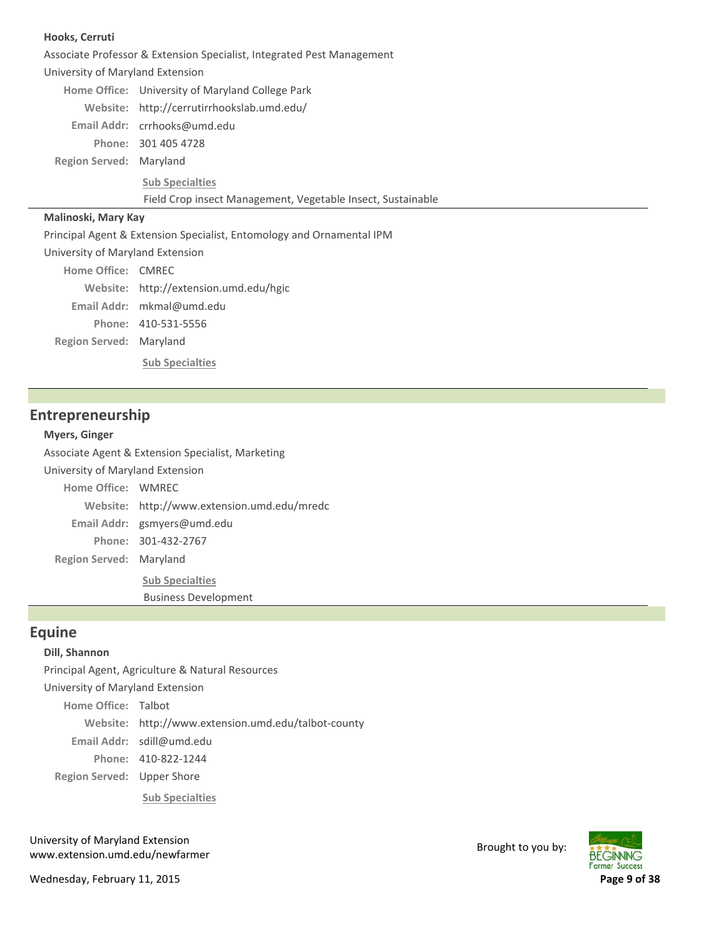#### **Hooks, Cerruti**

Associate Professor & Extension Specialist, Integrated Pest Management

**Region Served: Maryland** University of Maryland Extension Home Office: University of Maryland College Park http://cerrutirrhookslab.umd.edu/ **Website:** crrhooks@umd.edu **Email Addr:** 301 405 4728 **Phone: Sub Specialties** Field Crop insect Management, Vegetable Insect, Sustainable

#### **Malinoski, Mary Kay**

Principal Agent & Extension Specialist, Entomology and Ornamental IPM

University of Maryland Extension

**Region Served: Maryland** Home Office: CMREC http://extension.umd.edu/hgic **Website:** mkmal@umd.edu **Email Addr:** 410‐531‐5556 **Phone: Sub Specialties**

## **Entrepreneurship**

#### **Myers, Ginger**

Associate Agent & Extension Specialist, Marketing

University of Maryland Extension

**Region Served: Maryland Home Office: WMREC** http://www.extension.umd.edu/mredc **Website:** gsmyers@umd.edu **Email Addr:** 301‐432‐2767 **Phone: Sub Specialties**

Business Development

### **Equine**

#### **Dill, Shannon**

Principal Agent, Agriculture & Natural Resources

University of Maryland Extension

Home Office: Talbot

http://www.extension.umd.edu/talbot‐county **Website:**

sdill@umd.edu **Email Addr:**

410‐822‐1244 **Phone:**

Region Served: Upper Shore

**Sub Specialties**

University of Maryland Extension oniversity of waryland Extension<br>www.extension.umd.edu/newfarmer Brought to you by:

Wednesday, February 11, 2015 **Page 9 of 38**

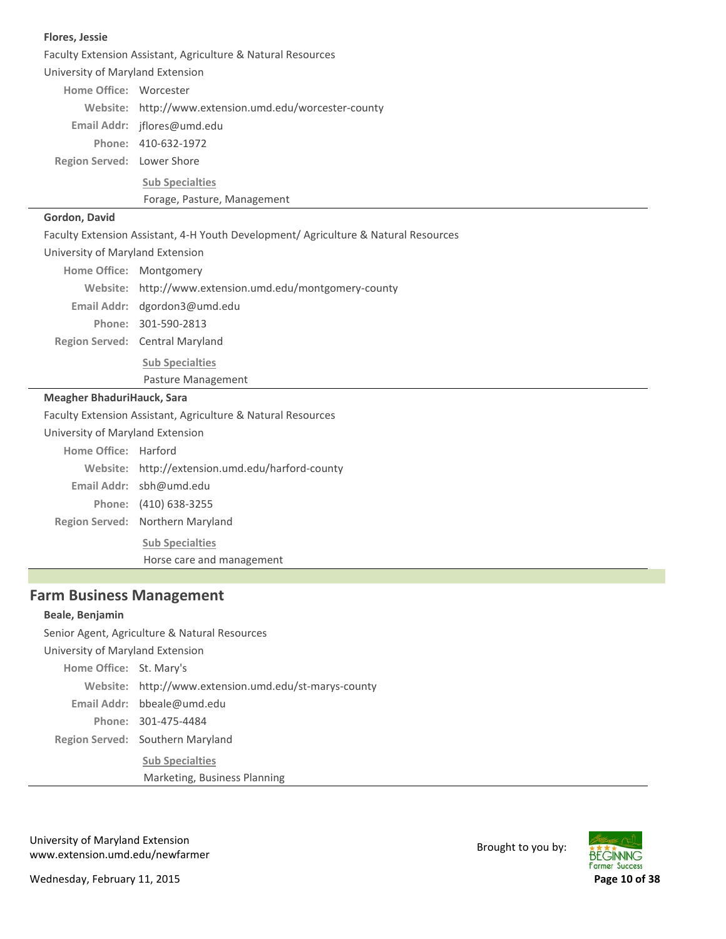| Faculty Extension Assistant, Agriculture & Natural Resources                        |  |  |
|-------------------------------------------------------------------------------------|--|--|
| University of Maryland Extension                                                    |  |  |
| Home Office: Worcester                                                              |  |  |
| Website: http://www.extension.umd.edu/worcester-county                              |  |  |
| Email Addr: jflores@umd.edu                                                         |  |  |
| Phone: 410-632-1972                                                                 |  |  |
| Region Served: Lower Shore                                                          |  |  |
| <b>Sub Specialties</b>                                                              |  |  |
| Forage, Pasture, Management                                                         |  |  |
|                                                                                     |  |  |
| Faculty Extension Assistant, 4-H Youth Development/ Agriculture & Natural Resources |  |  |
| University of Maryland Extension                                                    |  |  |
| Home Office: Montgomery                                                             |  |  |
| Website: http://www.extension.umd.edu/montgomery-county                             |  |  |
| Email Addr: dgordon3@umd.edu                                                        |  |  |
| Phone: 301-590-2813                                                                 |  |  |
| Region Served: Central Maryland                                                     |  |  |
| <b>Sub Specialties</b>                                                              |  |  |
| Pasture Management                                                                  |  |  |
| Meagher BhaduriHauck, Sara                                                          |  |  |
| Faculty Extension Assistant, Agriculture & Natural Resources                        |  |  |
| University of Maryland Extension                                                    |  |  |
| Home Office: Harford                                                                |  |  |
| Website: http://extension.umd.edu/harford-county                                    |  |  |
| Email Addr: sbh@umd.edu                                                             |  |  |
| Phone: (410) 638-3255                                                               |  |  |
| Region Served: Northern Maryland                                                    |  |  |
| <b>Sub Specialties</b>                                                              |  |  |
| Horse care and management                                                           |  |  |
|                                                                                     |  |  |
|                                                                                     |  |  |

# **Farm Business Management**

#### **Beale, Benjamin**

П

**Flores, Jessie**

Region Served: Southern Maryland Senior Agent, Agriculture & Natural Resources University of Maryland Extension Home Office: St. Mary's http://www.extension.umd.edu/st‐marys‐county **Website:** bbeale@umd.edu **Email Addr:** 301‐475‐4484 **Phone: Sub Specialties** Marketing, Business Planning

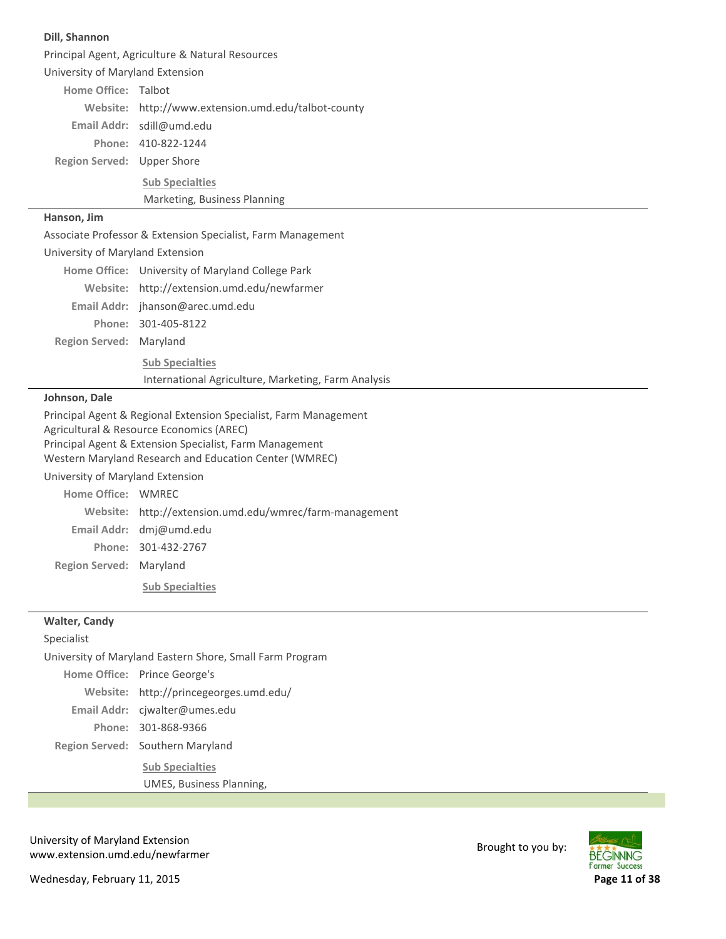| Dill, Shannon                                          |                                                                                                                                                                         |  |  |
|--------------------------------------------------------|-------------------------------------------------------------------------------------------------------------------------------------------------------------------------|--|--|
|                                                        | Principal Agent, Agriculture & Natural Resources                                                                                                                        |  |  |
| University of Maryland Extension                       |                                                                                                                                                                         |  |  |
| Home Office: Talbot                                    |                                                                                                                                                                         |  |  |
|                                                        | Website: http://www.extension.umd.edu/talbot-county                                                                                                                     |  |  |
|                                                        | Email Addr: sdill@umd.edu                                                                                                                                               |  |  |
|                                                        | Phone: 410-822-1244                                                                                                                                                     |  |  |
| Region Served: Upper Shore                             |                                                                                                                                                                         |  |  |
|                                                        | <b>Sub Specialties</b>                                                                                                                                                  |  |  |
|                                                        | Marketing, Business Planning                                                                                                                                            |  |  |
| Hanson, Jim                                            |                                                                                                                                                                         |  |  |
|                                                        | Associate Professor & Extension Specialist, Farm Management                                                                                                             |  |  |
| University of Maryland Extension                       |                                                                                                                                                                         |  |  |
|                                                        | Home Office: University of Maryland College Park                                                                                                                        |  |  |
|                                                        | Website: http://extension.umd.edu/newfarmer                                                                                                                             |  |  |
|                                                        | Email Addr: jhanson@arec.umd.edu                                                                                                                                        |  |  |
|                                                        | Phone: 301-405-8122                                                                                                                                                     |  |  |
| Region Served: Maryland                                |                                                                                                                                                                         |  |  |
|                                                        | <b>Sub Specialties</b>                                                                                                                                                  |  |  |
|                                                        | International Agriculture, Marketing, Farm Analysis                                                                                                                     |  |  |
| Johnson, Dale                                          |                                                                                                                                                                         |  |  |
|                                                        | Principal Agent & Regional Extension Specialist, Farm Management<br>Agricultural & Resource Economics (AREC)<br>Principal Agent & Extension Specialist, Farm Management |  |  |
|                                                        | Western Maryland Research and Education Center (WMREC)                                                                                                                  |  |  |
| University of Maryland Extension<br>Home Office: WMRFC |                                                                                                                                                                         |  |  |
|                                                        |                                                                                                                                                                         |  |  |
|                                                        | Website: http://extension.umd.edu/wmrec/farm-management<br>Email Addr: dmj@umd.edu                                                                                      |  |  |
|                                                        | Phone: 301-432-2767                                                                                                                                                     |  |  |
| Region Served: Maryland                                |                                                                                                                                                                         |  |  |
|                                                        |                                                                                                                                                                         |  |  |
|                                                        | <b>Sub Specialties</b>                                                                                                                                                  |  |  |
| <b>Walter, Candy</b>                                   |                                                                                                                                                                         |  |  |
| Specialist                                             |                                                                                                                                                                         |  |  |
|                                                        | University of Maryland Eastern Shore, Small Farm Program                                                                                                                |  |  |
|                                                        | Home Office: Prince George's                                                                                                                                            |  |  |
| Website:                                               | http://princegeorges.umd.edu/                                                                                                                                           |  |  |
|                                                        | Email Addr: cjwalter@umes.edu                                                                                                                                           |  |  |
|                                                        | Phone: 301-868-9366                                                                                                                                                     |  |  |
|                                                        | Region Served: Southern Maryland                                                                                                                                        |  |  |
|                                                        | <b>Sub Specialties</b>                                                                                                                                                  |  |  |
|                                                        | UMES, Business Planning,                                                                                                                                                |  |  |

University of Maryland Extension University of Maryland Extension<br>www.extension.umd.edu/newfarmer Brought to you by:

Wednesday, February 11, 2015 **Page 11 of 38**

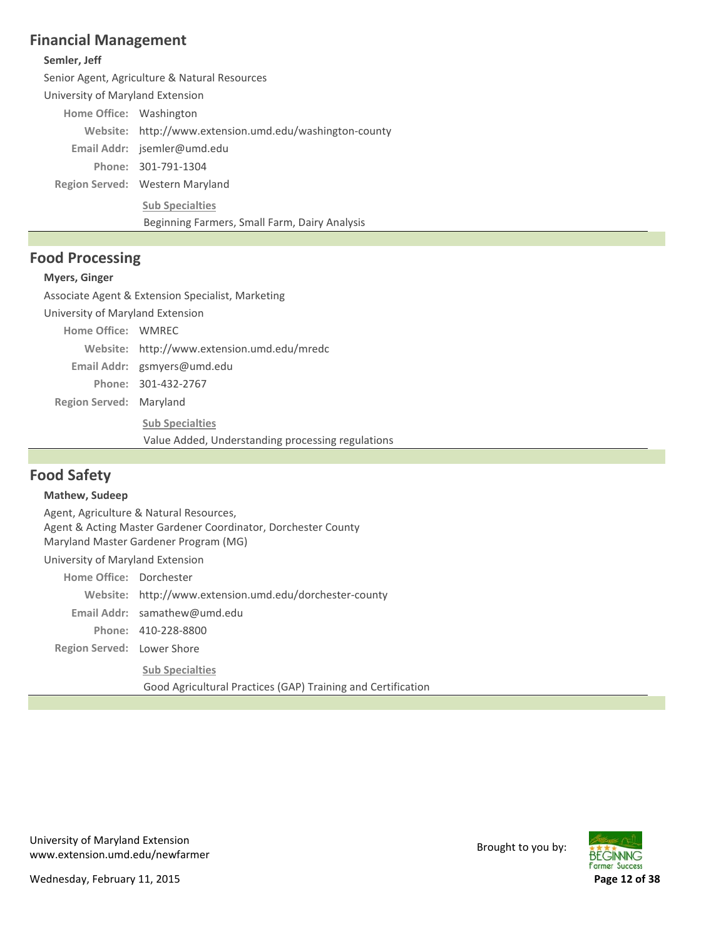## **Financial Management**

### **Semler, Jeff**

Senior Agent, Agriculture & Natural Resources

University of Maryland Extension

Home Office: Washington

Website: http://www.extension.umd.edu/washington-county

Email Addr: jsemler@umd.edu

301‐791‐1304 **Phone:**

Region Served: Western Maryland

**Sub Specialties**

Beginning Farmers, Small Farm, Dairy Analysis

## **Food Processing**

### **Myers, Ginger**

Associate Agent & Extension Specialist, Marketing

University of Maryland Extension

Home Office: WMREC

http://www.extension.umd.edu/mredc **Website:**

gsmyers@umd.edu **Email Addr:**

301‐432‐2767 **Phone:**

**Region Served: Maryland** 

**Sub Specialties**

Value Added, Understanding processing regulations

# **Food Safety**

### **Mathew, Sudeep**

Region Served: Lower Shore Agent, Agriculture & Natural Resources, Agent & Acting Master Gardener Coordinator, Dorchester County Maryland Master Gardener Program (MG) University of Maryland Extension Home Office: Dorchester http://www.extension.umd.edu/dorchester‐county **Website:** samathew@umd.edu **Email Addr:** 410‐228‐8800 **Phone: Sub Specialties** Good Agricultural Practices (GAP) Training and Certification



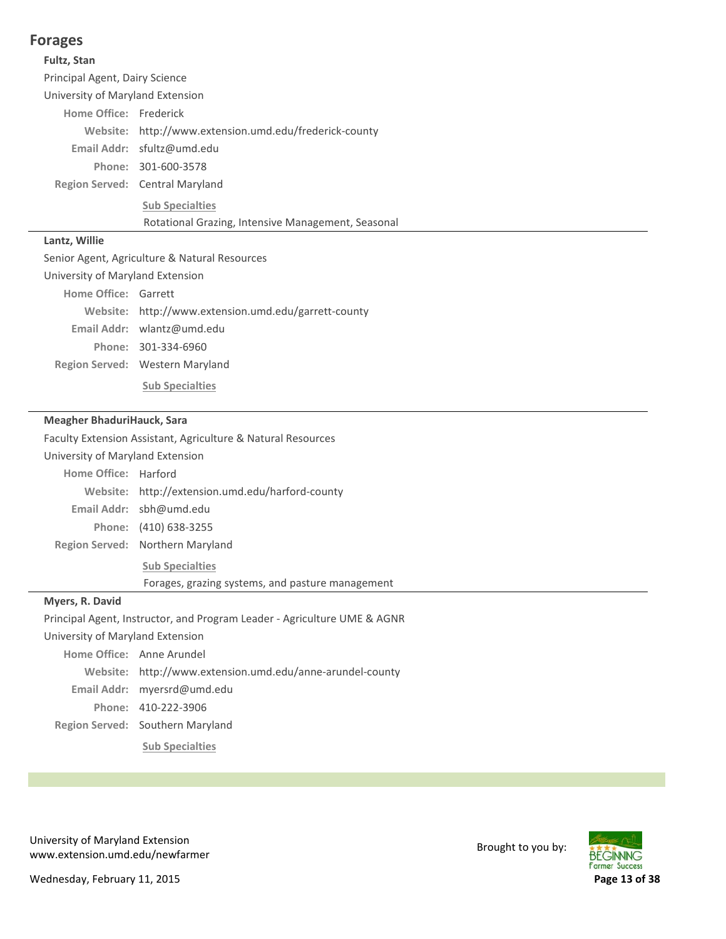## **Forages**

#### **Fultz, Stan**

Principal Agent, Dairy Science

University of Maryland Extension

Home Office: Frederick

Website: http://www.extension.umd.edu/frederick-county

sfultz@umd.edu **Email Addr:**

301‐600‐3578 **Phone:**

**Region Served:** Central Maryland

**Sub Specialties**

Rotational Grazing, Intensive Management, Seasonal

### **Lantz, Willie**

Senior Agent, Agriculture & Natural Resources

University of Maryland Extension

| Home Office: Garrett |                                                      |
|----------------------|------------------------------------------------------|
|                      | Website: http://www.extension.umd.edu/garrett-county |
|                      | Email Addr: $w$ lantz@umd.edu                        |

301‐334‐6960 **Phone:**

Region Served: Western Maryland

**Sub Specialties**

#### **Meagher BhaduriHauck, Sara**

Faculty Extension Assistant, Agriculture & Natural Resources

|  |  | University of Maryland Extension |  |
|--|--|----------------------------------|--|
|--|--|----------------------------------|--|

| Home Office: Harford |                                                  |
|----------------------|--------------------------------------------------|
|                      | Website: http://extension.umd.edu/harford-county |
|                      | Email Addr: sbh@umd.edu                          |
|                      | Phone: (410) 638-3255                            |
|                      | Region Served: Northern Maryland                 |
|                      | <b>Sub Specialties</b>                           |

Forages, grazing systems, and pasture management

#### **Myers, R. David**

Principal Agent, Instructor, and Program Leader ‐ Agriculture UME & AGNR

University of Maryland Extension

Region Served: Southern Maryland Home Office: Anne Arundel http://www.extension.umd.edu/anne‐arundel‐county **Website:** myersrd@umd.edu **Email Addr:** 410‐222‐3906 **Phone: Sub Specialties**

University of Maryland Extension oniversity of waryland Extension<br>www.extension.umd.edu/newfarmer Brought to you by: **BEGINNING Farmer Success** 

Wednesday, February 11, 2015 **Page 13 of 38**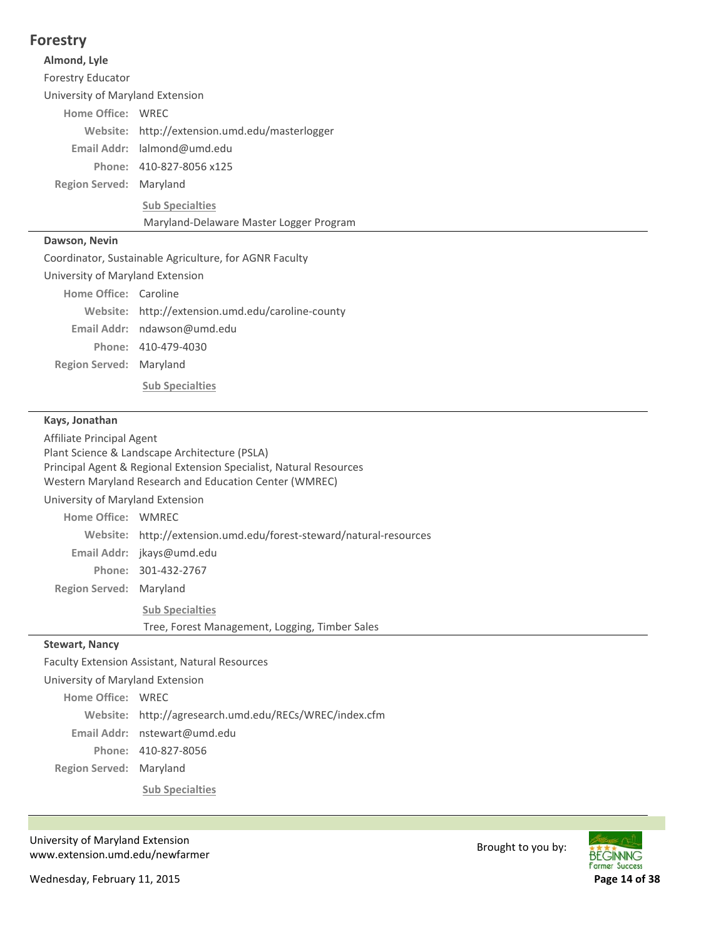## **Forestry**

#### **Almond, Lyle**

Forestry Educator

University of Maryland Extension

### Home Office: WREC

Website: http://extension.umd.edu/masterlogger

lalmond@umd.edu **Email Addr:**

410‐827‐8056 x125 **Phone:**

**Region Served: Maryland** 

**Sub Specialties**

Maryland‐Delaware Master Logger Program

### **Dawson, Nevin**

Coordinator, Sustainable Agriculture, for AGNR Faculty

University of Maryland Extension

| Home Office: Caroline   |                                                   |
|-------------------------|---------------------------------------------------|
|                         | Website: http://extension.umd.edu/caroline-county |
|                         | Email Addr: $ndawson@umd.edu$                     |
|                         | Phone: 410-479-4030                               |
| Region Served: Maryland |                                                   |
|                         | <b>Sub Specialties</b>                            |

### **Kays, Jonathan**

Affiliate Principal Agent Plant Science & Landscape Architecture (PSLA) Principal Agent & Regional Extension Specialist, Natural Resources Western Maryland Research and Education Center (WMREC)

University of Maryland Extension

| Home Office: WMRFC      |                                                                    |
|-------------------------|--------------------------------------------------------------------|
|                         | Website: http://extension.umd.edu/forest-steward/natural-resources |
|                         | Email Addr: jkays@umd.edu                                          |
|                         | Phone: 301-432-2767                                                |
| Region Served: Maryland |                                                                    |
|                         | <b>Sub Specialties</b>                                             |
|                         | Tree, Forest Management, Logging, Timber Sales                     |
|                         |                                                                    |

### **Stewart, Nancy**

Faculty Extension Assistant, Natural Resources

University of Maryland Extension Home Office: WREC

http://agresearch.umd.edu/RECs/WREC/index.cfm **Website:**

nstewart@umd.edu **Email Addr:**

410‐827‐8056 **Phone:**

**Region Served: Maryland** 

**Sub Specialties**

University of Maryland Extension oniversity of waryland Extension<br>www.extension.umd.edu/newfarmer Brought to you by:

**BEGINNING Former Success** 

Wednesday, February 11, 2015 **Page 14 of 38**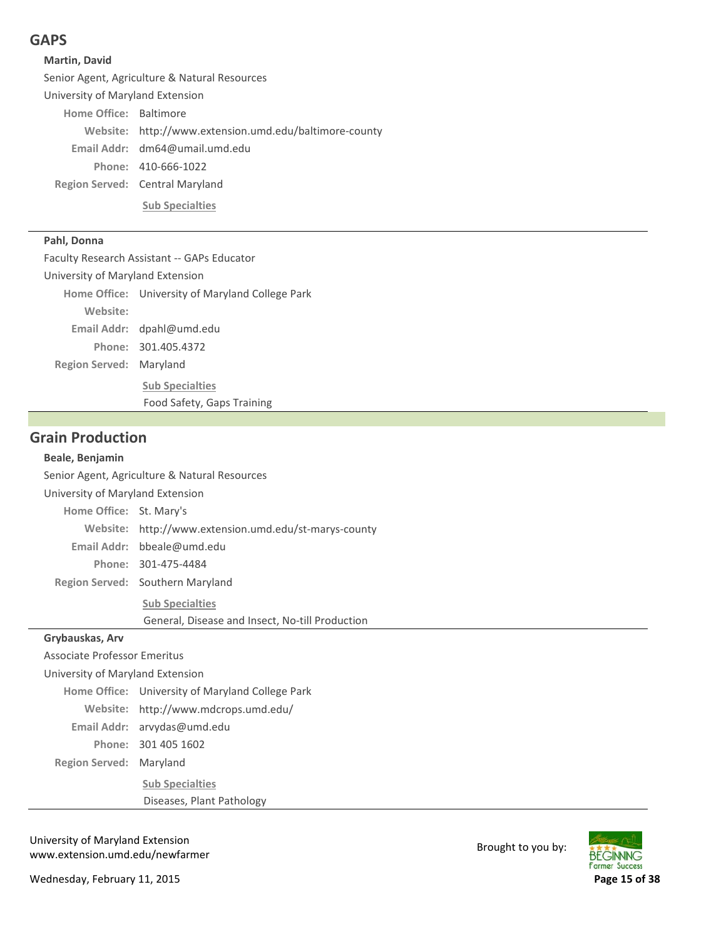## **GAPS**

### **Martin, David**

Senior Agent, Agriculture & Natural Resources

University of Maryland Extension

Home Office: Baltimore Website: http://www.extension.umd.edu/baltimore-county dm64@umail.umd.edu **Email Addr:**

410‐666‐1022 **Phone:**

**Region Served:** Central Maryland

**Sub Specialties**

### **Pahl, Donna**

Faculty Research Assistant ‐‐ GAPs Educator

University of Maryland Extension

**Region Served: Maryland** Home Office: University of Maryland College Park Email Addr: dpahl@umd.edu 301.405.4372 **Phone: Sub Specialties Website:** Food Safety, Gaps Training

## **Grain Production**

### **Beale, Benjamin**

Senior Agent, Agriculture & Natural Resources

#### University of Maryland Extension

Region Served: Southern Maryland Home Office: St. Mary's http://www.extension.umd.edu/st‐marys‐county **Website:** bbeale@umd.edu **Email Addr:** 301‐475‐4484 **Phone:**

**Sub Specialties**

General, Disease and Insect, No‐till Production

#### **Grybauskas, Arv**

**Region Served: Maryland** Associate Professor Emeritus University of Maryland Extension Home Office: University of Maryland College Park Website: http://www.mdcrops.umd.edu/ Email Addr: arvydas@umd.edu 301 405 1602 **Phone: Sub Specialties** Diseases, Plant Pathology

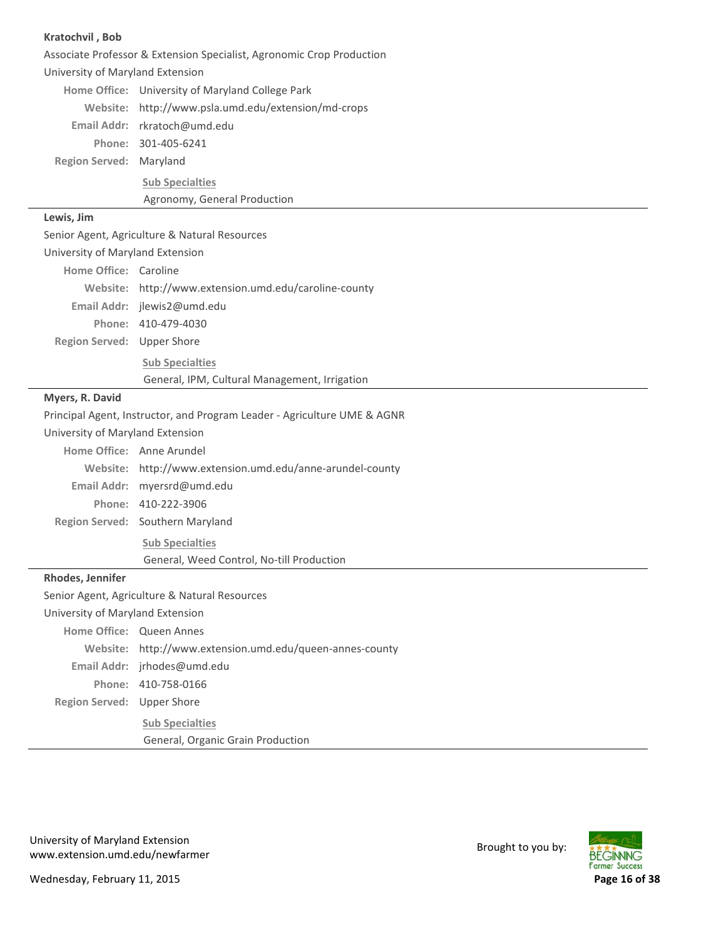| Kratochvil, Bob                  |                                                                          |
|----------------------------------|--------------------------------------------------------------------------|
|                                  | Associate Professor & Extension Specialist, Agronomic Crop Production    |
| University of Maryland Extension |                                                                          |
|                                  | Home Office: University of Maryland College Park                         |
|                                  | Website: http://www.psla.umd.edu/extension/md-crops                      |
|                                  | Email Addr: rkratoch@umd.edu                                             |
|                                  | Phone: 301-405-6241                                                      |
| Region Served: Maryland          |                                                                          |
|                                  | <b>Sub Specialties</b>                                                   |
|                                  | Agronomy, General Production                                             |
| Lewis, Jim                       |                                                                          |
|                                  | Senior Agent, Agriculture & Natural Resources                            |
| University of Maryland Extension |                                                                          |
| Home Office: Caroline            |                                                                          |
|                                  | Website: http://www.extension.umd.edu/caroline-county                    |
|                                  | Email Addr: jlewis2@umd.edu                                              |
|                                  | Phone: 410-479-4030                                                      |
| Region Served: Upper Shore       |                                                                          |
|                                  | <b>Sub Specialties</b>                                                   |
|                                  | General, IPM, Cultural Management, Irrigation                            |
| Myers, R. David                  |                                                                          |
|                                  | Principal Agent, Instructor, and Program Leader - Agriculture UME & AGNR |
| University of Maryland Extension |                                                                          |
|                                  | Home Office: Anne Arundel                                                |
|                                  | Website: http://www.extension.umd.edu/anne-arundel-county                |
|                                  | Email Addr: myersrd@umd.edu                                              |
|                                  | Phone: 410-222-3906                                                      |
|                                  | Region Served: Southern Maryland                                         |
|                                  | <b>Sub Specialties</b>                                                   |
|                                  | General, Weed Control, No-till Production                                |
| Rhodes, Jennifer                 |                                                                          |
|                                  | Senior Agent, Agriculture & Natural Resources                            |
| University of Maryland Extension |                                                                          |
|                                  | Home Office: Queen Annes                                                 |
| Website:                         | http://www.extension.umd.edu/queen-annes-county                          |
|                                  | Email Addr: jrhodes@umd.edu                                              |
|                                  | Phone: 410-758-0166                                                      |
| Region Served: Upper Shore       |                                                                          |
|                                  | <b>Sub Specialties</b>                                                   |
|                                  | General, Organic Grain Production                                        |

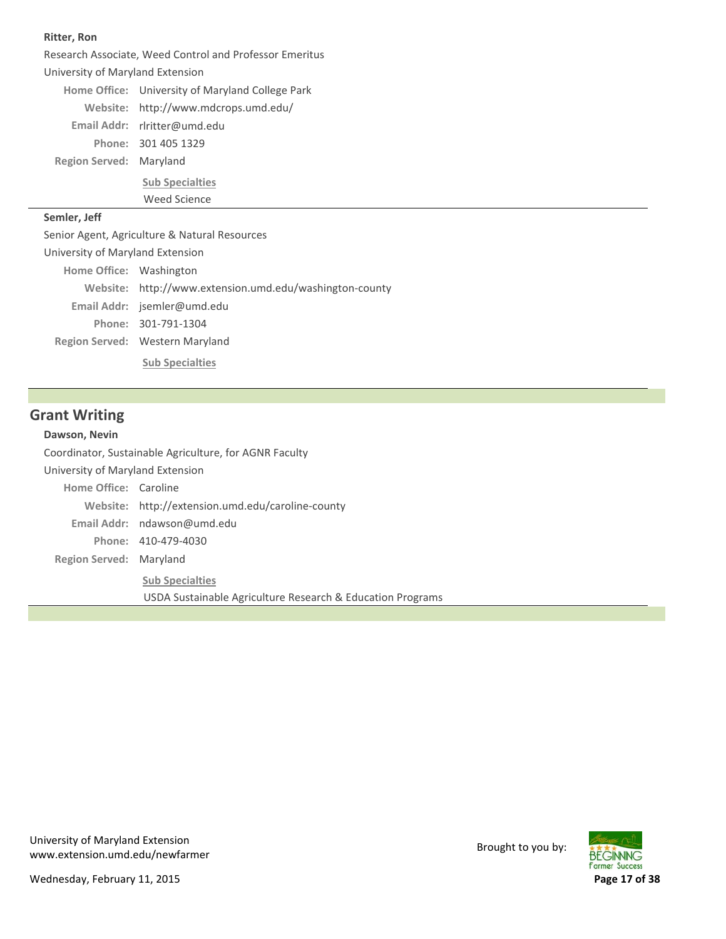#### **Ritter, Ron**

**Region Served: Maryland** Research Associate, Weed Control and Professor Emeritus University of Maryland Extension Home Office: University of Maryland College Park Website: http://www.mdcrops.umd.edu/ rlritter@umd.edu **Email Addr:** 301 405 1329 **Phone:**

> **Sub Specialties** Weed Science

#### **Semler, Jeff**

Senior Agent, Agriculture & Natural Resources

Region Served: Western Maryland University of Maryland Extension Home Office: Washington Website: http://www.extension.umd.edu/washington-county Email Addr: jsemler@umd.edu 301‐791‐1304 **Phone: Sub Specialties**

**Grant Writing**

#### **Dawson, Nevin**

**Region Served: Maryland** Coordinator, Sustainable Agriculture, for AGNR Faculty University of Maryland Extension **Home Office: Caroline** http://extension.umd.edu/caroline‐county **Website:** Email Addr: ndawson@umd.edu 410‐479‐4030 **Phone: Sub Specialties** USDA Sustainable Agriculture Research & Education Programs

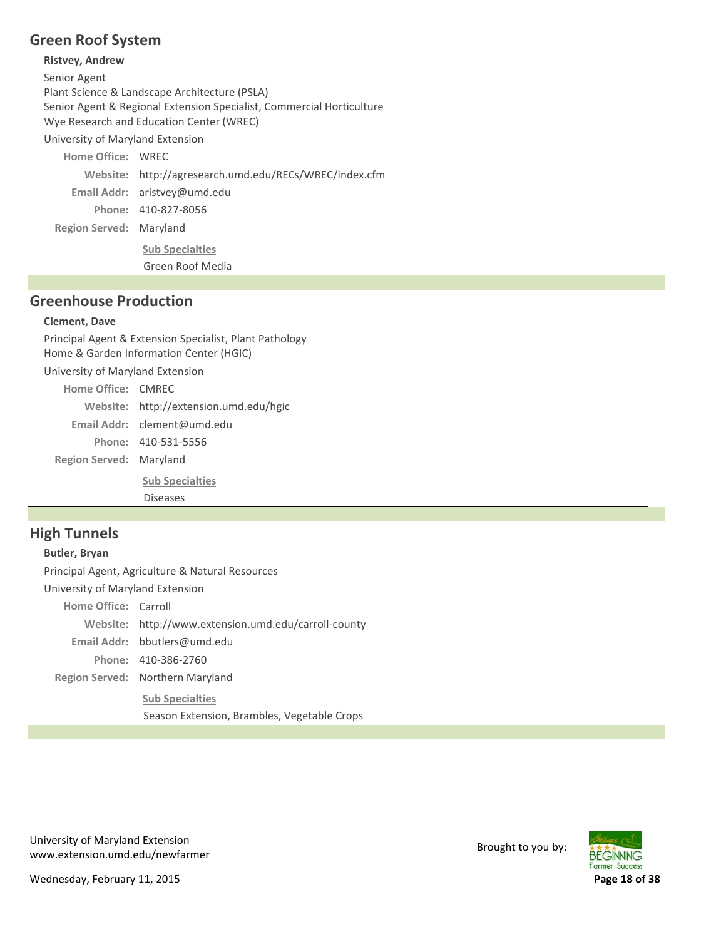# **Green Roof System**

### **Ristvey, Andrew**

Senior Agent Plant Science & Landscape Architecture (PSLA) Senior Agent & Regional Extension Specialist, Commercial Horticulture Wye Research and Education Center (WREC) University of Maryland Extension **Home Office: WREC** http://agresearch.umd.edu/RECs/WREC/index.cfm **Website:** Email Addr: aristvey@umd.edu

410‐827‐8056 **Phone:**

**Region Served: Maryland** 

**Sub Specialties**

Green Roof Media

## **Greenhouse Production**

### **Clement, Dave**

Principal Agent & Extension Specialist, Plant Pathology Home & Garden Information Center (HGIC) University of Maryland Extension Home Office: CMREC http://extension.umd.edu/hgic **Website:** clement@umd.edu **Email Addr:**

**Region Served: Maryland** 410‐531‐5556 **Phone:**

> **Sub Specialties** Diseases

# **High Tunnels**

### **Butler, Bryan**

Principal Agent, Agriculture & Natural Resources

University of Maryland Extension

Home Office: Carroll

Website: http://www.extension.umd.edu/carroll-county

bbutlers@umd.edu **Email Addr:**

410‐386‐2760 **Phone:**

Region Served: Northern Maryland

**Sub Specialties** Season Extension, Brambles, Vegetable Crops

University of Maryland Extension oniversity of waryland Extension<br>www.extension.umd.edu/newfarmer Brought to you by:

**BEGINNING Former Success** 

Wednesday, February 11, 2015 **Page 18 of 38**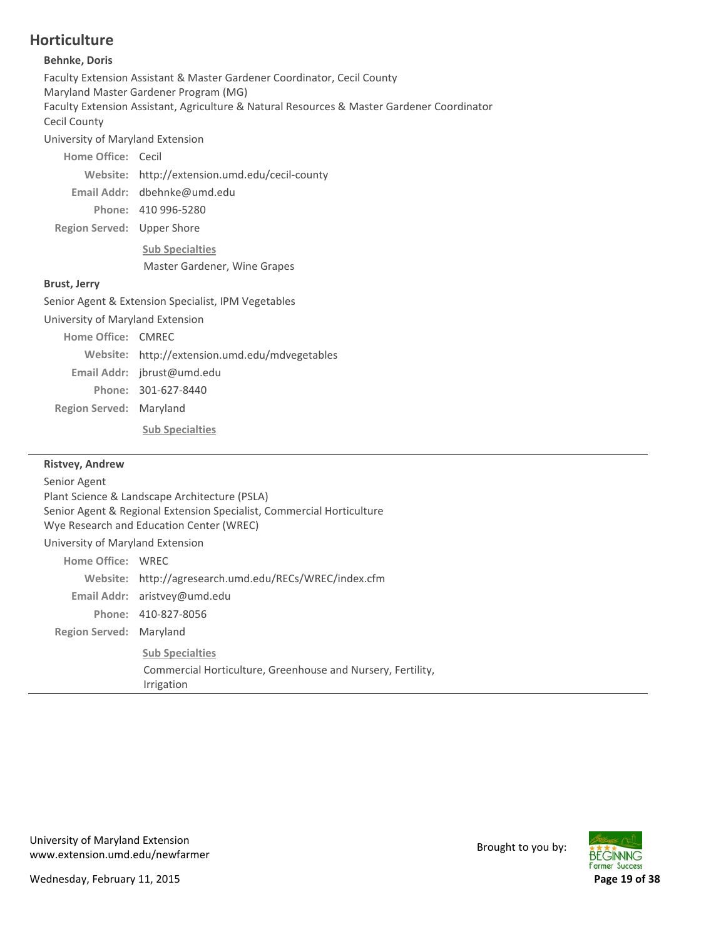# **Horticulture**

### **Behnke, Doris**

| <b>Behnke, Doris</b>                                                                                              |                                                                                            |  |
|-------------------------------------------------------------------------------------------------------------------|--------------------------------------------------------------------------------------------|--|
| Faculty Extension Assistant & Master Gardener Coordinator, Cecil County<br>Maryland Master Gardener Program (MG)  |                                                                                            |  |
| Cecil County                                                                                                      | Faculty Extension Assistant, Agriculture & Natural Resources & Master Gardener Coordinator |  |
| University of Maryland Extension                                                                                  |                                                                                            |  |
| Home Office: Cecil                                                                                                |                                                                                            |  |
|                                                                                                                   | Website: http://extension.umd.edu/cecil-county                                             |  |
|                                                                                                                   | Email Addr: dbehnke@umd.edu                                                                |  |
|                                                                                                                   | Phone: 410 996-5280                                                                        |  |
| Region Served: Upper Shore                                                                                        |                                                                                            |  |
|                                                                                                                   | <b>Sub Specialties</b>                                                                     |  |
|                                                                                                                   | Master Gardener, Wine Grapes                                                               |  |
| <b>Brust, Jerry</b>                                                                                               |                                                                                            |  |
|                                                                                                                   | Senior Agent & Extension Specialist, IPM Vegetables                                        |  |
| University of Maryland Extension                                                                                  |                                                                                            |  |
| Home Office: CMRFC                                                                                                |                                                                                            |  |
|                                                                                                                   | Website: http://extension.umd.edu/mdvegetables                                             |  |
|                                                                                                                   | Email Addr: jbrust@umd.edu                                                                 |  |
|                                                                                                                   | Phone: 301-627-8440                                                                        |  |
| Region Served: Maryland                                                                                           |                                                                                            |  |
|                                                                                                                   | <b>Sub Specialties</b>                                                                     |  |
| <b>Ristvey, Andrew</b>                                                                                            |                                                                                            |  |
| Senior Agent                                                                                                      |                                                                                            |  |
| Plant Science & Landscape Architecture (PSLA)                                                                     |                                                                                            |  |
| Senior Agent & Regional Extension Specialist, Commercial Horticulture<br>Wye Research and Education Center (WREC) |                                                                                            |  |
|                                                                                                                   | University of Maryland Extension                                                           |  |
| Home Office: WREC                                                                                                 |                                                                                            |  |

http://agresearch.umd.edu/RECs/WREC/index.cfm **Website:**

Commercial Horticulture, Greenhouse and Nursery, Fertility,

**Region Served: Maryland** 

Email Addr: aristvey@umd.edu 410‐827‐8056 **Phone:**

**Sub Specialties**

Irrigation

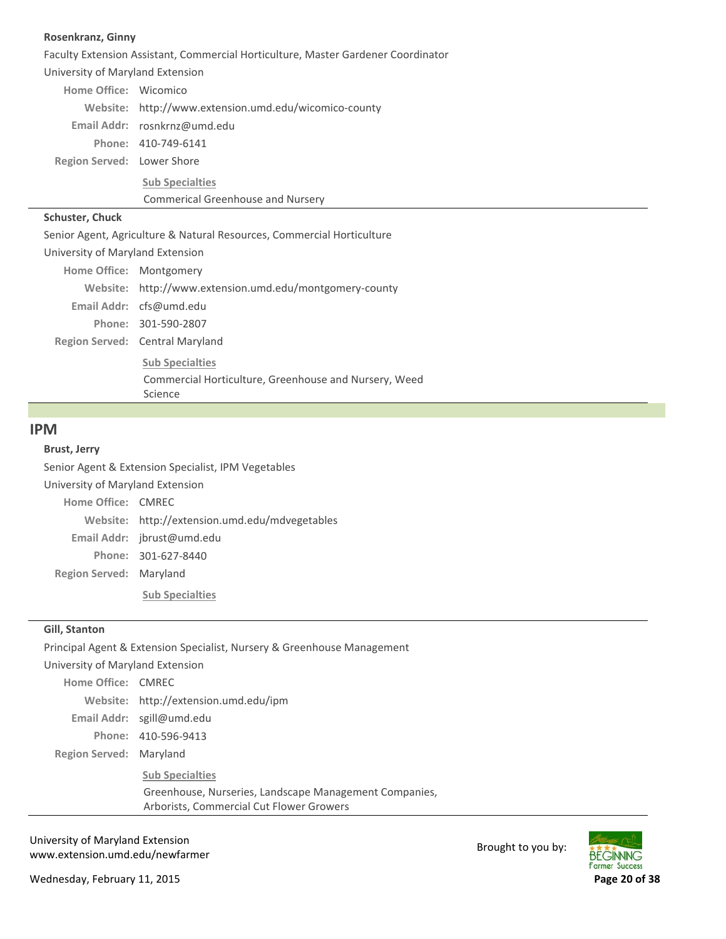#### **Rosenkranz, Ginny**

Faculty Extension Assistant, Commercial Horticulture, Master Gardener Coordinator

University of Maryland Extension

| Home Office: Wicomico      |                                                       |
|----------------------------|-------------------------------------------------------|
|                            | Website: http://www.extension.umd.edu/wicomico-county |
|                            | Email Addr: rosnkrnz@umd.edu                          |
|                            | Phone: 410-749-6141                                   |
| Region Served: Lower Shore |                                                       |
|                            | <b>Sub Specialties</b>                                |
|                            | <b>Commerical Greenhouse and Nursery</b>              |

#### **Schuster, Chuck**

Senior Agent, Agriculture & Natural Resources, Commercial Horticulture

University of Maryland Extension Montgomery **Home Office:**

| Home Utrice: Montgomery |                                                         |
|-------------------------|---------------------------------------------------------|
|                         | Website: http://www.extension.umd.edu/montgomery-county |
|                         | Email Addr: $cfs@umd.edu$                               |
|                         | Phone: 301-590-2807                                     |
|                         | Region Served: Central Maryland                         |
|                         | <b>Sub Specialties</b>                                  |
|                         | Commercial Horticulture, Greenhouse and Nursery, Weed   |

Science

#### **IPM**

#### **Brust, Jerry**

**Region Served: Maryland** Senior Agent & Extension Specialist, IPM Vegetables University of Maryland Extension Home Office: CMREC Website: http://extension.umd.edu/mdvegetables Email Addr: jbrust@umd.edu 301‐627‐8440 **Phone:**

**Sub Specialties**

#### **Gill, Stanton**

Principal Agent & Extension Specialist, Nursery & Greenhouse Management

University of Maryland Extension

**Region Served: Maryland** Home Office: CMREC http://extension.umd.edu/ipm **Website:** sgill@umd.edu **Email Addr:** 410‐596‐9413 **Phone: Sub Specialties** Greenhouse, Nurseries, Landscape Management Companies, Arborists, Commercial Cut Flower Growers

University of Maryland Extension oniversity of waryland Extension<br>www.extension.umd.edu/newfarmer Brought to you by:

Wednesday, February 11, 2015 **Page 20 of 38**

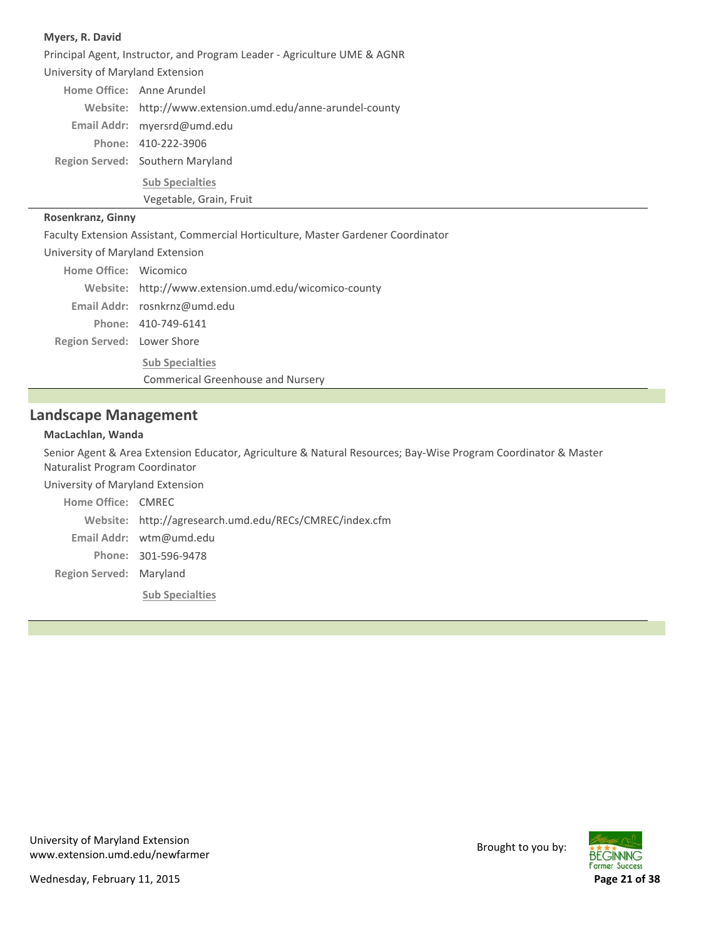#### **Myers, R. David**

Region Served: Southern Maryland Principal Agent, Instructor, and Program Leader ‐ Agriculture UME & AGNR University of Maryland Extension Home Office: Anne Arundel http://www.extension.umd.edu/anne‐arundel‐county **Website:** myersrd@umd.edu **Email Addr:** 410‐222‐3906 **Phone: Sub Specialties** Vegetable, Grain, Fruit

#### **Rosenkranz, Ginny**

Faculty Extension Assistant, Commercial Horticulture, Master Gardener Coordinator

| University of Maryland Extension |                                                       |  |
|----------------------------------|-------------------------------------------------------|--|
| Home Office: Wicomico            |                                                       |  |
|                                  | Website: http://www.extension.umd.edu/wicomico-county |  |
|                                  | Email Addr: rosnkrnz@umd.edu                          |  |
|                                  | Phone: 410-749-6141                                   |  |
| Region Served: Lower Shore       |                                                       |  |
|                                  | <b>Sub Specialties</b>                                |  |
|                                  | <b>Commerical Greenhouse and Nursery</b>              |  |

### **Landscape Management**

#### **MacLachlan, Wanda**

Senior Agent & Area Extension Educator, Agriculture & Natural Resources; Bay‐Wise Program Coordinator & Master Naturalist Program Coordinator

University of Maryland Extension

**Region Served: Maryland** Home Office: CMREC http://agresearch.umd.edu/RECs/CMREC/index.cfm **Website:** Email Addr: wtm@umd.edu 301‐596‐9478 **Phone: Sub Specialties**

University of Maryland Extension oniversity of waryland Extension<br>www.extension.umd.edu/newfarmer Brought to you by:

Wednesday, February 11, 2015 **Page 21 of 38**

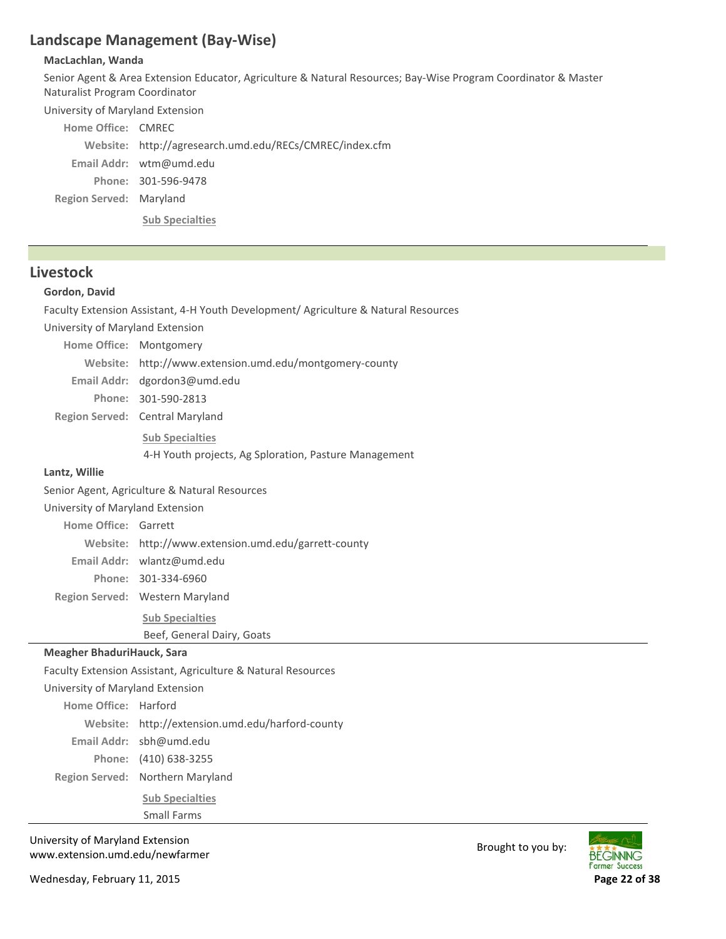# **Landscape Management (Bay‐Wise)**

#### **MacLachlan, Wanda**

Senior Agent & Area Extension Educator, Agriculture & Natural Resources; Bay‐Wise Program Coordinator & Master Naturalist Program Coordinator

University of Maryland Extension

| Home Office: CMREC      |                                                         |
|-------------------------|---------------------------------------------------------|
|                         | Website: http://agresearch.umd.edu/RECs/CMREC/index.cfm |
|                         | Email Addr: $wtm@umd.edu$                               |
|                         | Phone: 301-596-9478                                     |
| Region Served: Maryland |                                                         |
|                         | <b>Sub Specialties</b>                                  |

## **Livestock**

### **Gordon, David**

Faculty Extension Assistant, 4‐H Youth Development/ Agriculture & Natural Resources

University of Maryland Extension

| Home Office: Montgomery |                                                         |
|-------------------------|---------------------------------------------------------|
|                         | Website: http://www.extension.umd.edu/montgomery-county |
|                         | Email Addr: $d$ gordon $3@$ umd.edu                     |
|                         | Phone: 301-590-2813                                     |
|                         | Region Served: Central Maryland                         |
|                         | <b>Sub Specialties</b>                                  |
|                         | 4-H Youth projects, Ag Sploration, Pasture Management   |

### **Lantz, Willie**

Senior Agent, Agriculture & Natural Resources

University of Maryland Extension

Home Office: Garrett

http://www.extension.umd.edu/garrett‐county **Website:**

wlantz@umd.edu **Email Addr:**

301‐334‐6960 **Phone:**

Region Served: Western Maryland

**Sub Specialties**

Beef, General Dairy, Goats

### **Meagher BhaduriHauck, Sara**

Faculty Extension Assistant, Agriculture & Natural Resources

University of Maryland Extension

Region Served: Northern Maryland Home Office: Harford Website: http://extension.umd.edu/harford-county sbh@umd.edu **Email Addr:** (410) 638‐3255 **Phone: Sub Specialties** Small Farms

University of Maryland Extension www.extension.umd.edu/newfarmer Brought to you by:

Wednesday, February 11, 2015 **Page 22 of 38**

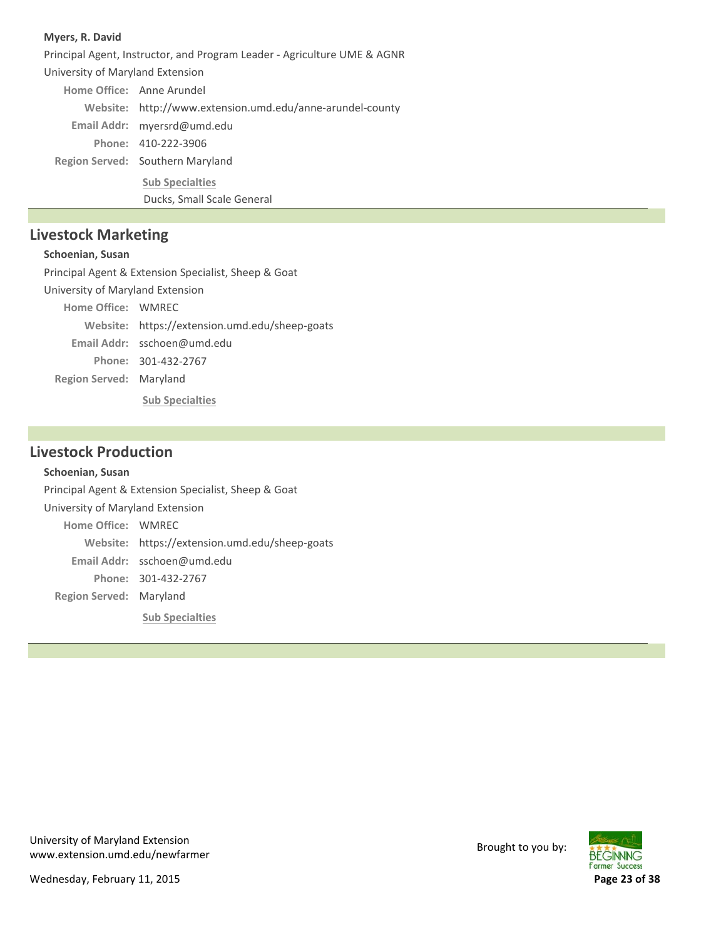#### **Myers, R. David**

Region Served: Southern Maryland Principal Agent, Instructor, and Program Leader ‐ Agriculture UME & AGNR University of Maryland Extension Home Office: Anne Arundel http://www.extension.umd.edu/anne‐arundel‐county **Website:** myersrd@umd.edu **Email Addr:** 410‐222‐3906 **Phone: Sub Specialties** Ducks, Small Scale General

## **Livestock Marketing**

### **Schoenian, Susan**

**Region Served: Maryland** Principal Agent & Extension Specialist, Sheep & Goat University of Maryland Extension Home Office: WMREC Website: https://extension.umd.edu/sheep-goats sschoen@umd.edu **Email Addr:** 301‐432‐2767 **Phone: Sub Specialties**

## **Livestock Production**

#### **Schoenian, Susan**

**Region Served: Maryland** Principal Agent & Extension Specialist, Sheep & Goat University of Maryland Extension Home Office: WMREC Website: https://extension.umd.edu/sheep-goats sschoen@umd.edu **Email Addr:** 301‐432‐2767 **Phone: Sub Specialties**



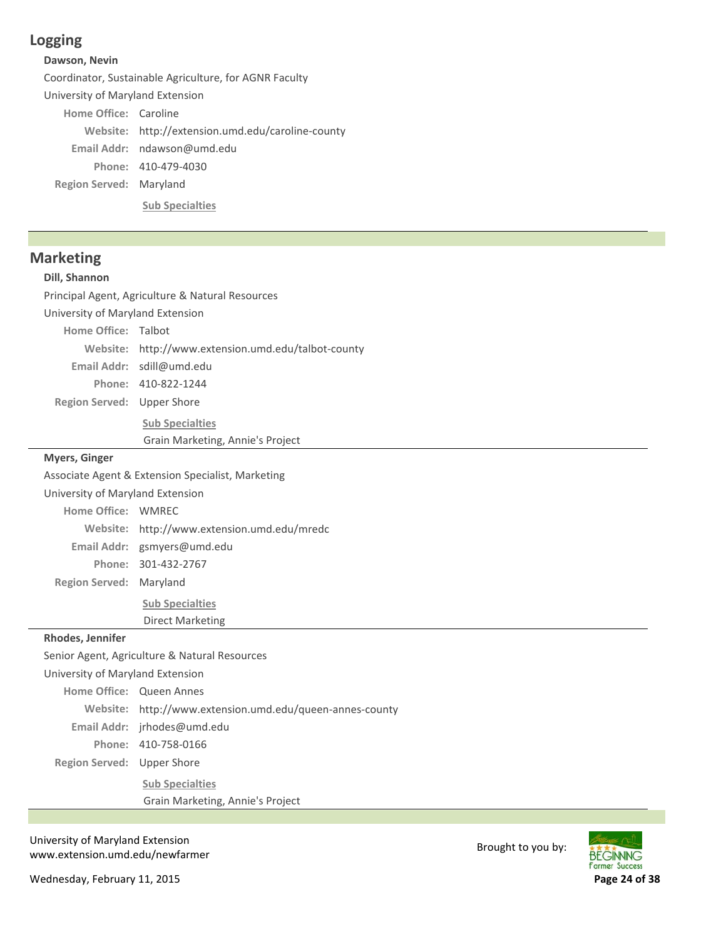# **Logging**

### **Dawson, Nevin**

Coordinator, Sustainable Agriculture, for AGNR Faculty

University of Maryland Extension

Home Office: Caroline

Website: http://extension.umd.edu/caroline-county Email Addr: ndawson@umd.edu

410‐479‐4030 **Phone:**

**Region Served: Maryland** 

**Sub Specialties**

## **Marketing**

### **Dill, Shannon**

Principal Agent, Agriculture & Natural Resources

University of Maryland Extension

Home Office: Talbot

http://www.extension.umd.edu/talbot‐county **Website:**

sdill@umd.edu **Email Addr:**

410‐822‐1244 **Phone:**

Region Served: Upper Shore

**Sub Specialties**

Grain Marketing, Annie's Project

### **Myers, Ginger**

Associate Agent & Extension Specialist, Marketing

University of Maryland Extension

**Home Office: WMREC** 

http://www.extension.umd.edu/mredc **Website:**

gsmyers@umd.edu **Email Addr:**

301‐432‐2767 **Phone:**

**Region Served: Maryland** 

**Sub Specialties** Direct Marketing

#### **Rhodes, Jennifer**

Region Served: Upper Shore Senior Agent, Agriculture & Natural Resources University of Maryland Extension Home Office: Queen Annes http://www.extension.umd.edu/queen‐annes‐county **Website:** Email Addr: jrhodes@umd.edu 410‐758‐0166 **Phone: Sub Specialties** Grain Marketing, Annie's Project

University of Maryland Extension oniversity of waryland Extension<br>www.extension.umd.edu/newfarmer Brought to you by:

Wednesday, February 11, 2015 **Page 24 of 38**

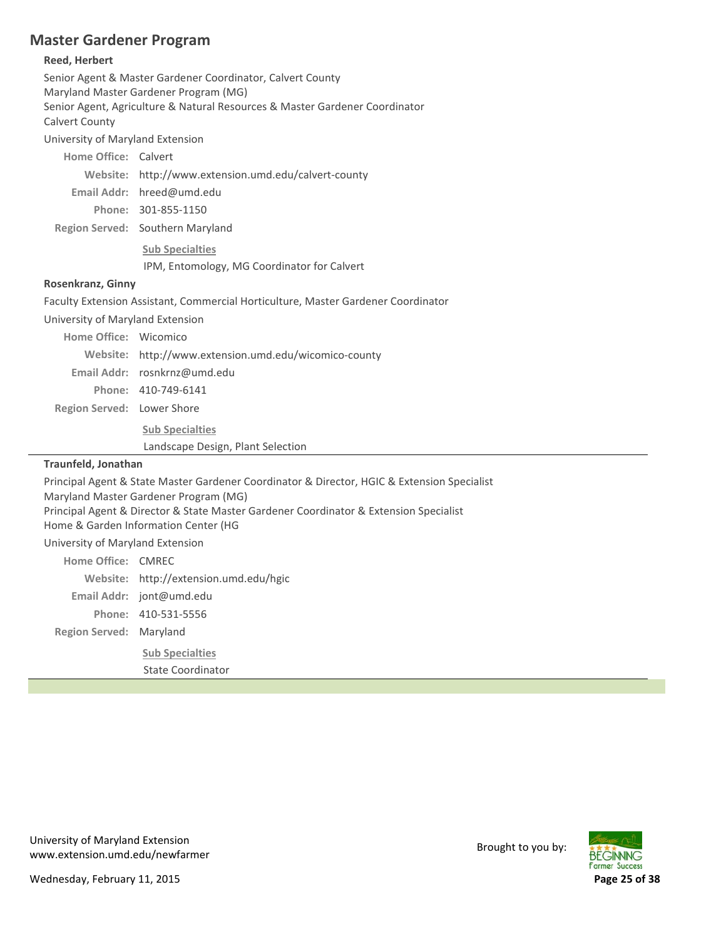# **Master Gardener Program**

## **Reed, Herbert**

| nccu, licinci l                       |                                                                                                                               |  |
|---------------------------------------|-------------------------------------------------------------------------------------------------------------------------------|--|
|                                       | Senior Agent & Master Gardener Coordinator, Calvert County                                                                    |  |
|                                       | Maryland Master Gardener Program (MG)<br>Senior Agent, Agriculture & Natural Resources & Master Gardener Coordinator          |  |
| Calvert County                        |                                                                                                                               |  |
| University of Maryland Extension      |                                                                                                                               |  |
| Home Office: Calvert                  |                                                                                                                               |  |
|                                       | Website: http://www.extension.umd.edu/calvert-county                                                                          |  |
|                                       | Email Addr: hreed@umd.edu                                                                                                     |  |
|                                       | Phone: 301-855-1150                                                                                                           |  |
|                                       | Region Served: Southern Maryland                                                                                              |  |
|                                       | <b>Sub Specialties</b>                                                                                                        |  |
|                                       | IPM, Entomology, MG Coordinator for Calvert                                                                                   |  |
| Rosenkranz, Ginny                     |                                                                                                                               |  |
|                                       | Faculty Extension Assistant, Commercial Horticulture, Master Gardener Coordinator                                             |  |
| University of Maryland Extension      |                                                                                                                               |  |
| Home Office: Wicomico                 |                                                                                                                               |  |
|                                       | Website: http://www.extension.umd.edu/wicomico-county                                                                         |  |
|                                       | Email Addr: rosnkrnz@umd.edu                                                                                                  |  |
|                                       | Phone: 410-749-6141                                                                                                           |  |
| Region Served: Lower Shore            |                                                                                                                               |  |
|                                       | <b>Sub Specialties</b>                                                                                                        |  |
|                                       | Landscape Design, Plant Selection                                                                                             |  |
| Traunfeld, Jonathan                   |                                                                                                                               |  |
|                                       | Principal Agent & State Master Gardener Coordinator & Director, HGIC & Extension Specialist                                   |  |
| Maryland Master Gardener Program (MG) |                                                                                                                               |  |
|                                       | Principal Agent & Director & State Master Gardener Coordinator & Extension Specialist<br>Home & Garden Information Center (HG |  |
| University of Maryland Extension      |                                                                                                                               |  |
| Home Office: CMREC                    |                                                                                                                               |  |
|                                       | Website: http://extension.umd.edu/hgic                                                                                        |  |
|                                       | Email Addr: jont@umd.edu                                                                                                      |  |
|                                       | Phone: 410-531-5556                                                                                                           |  |
| Region Served: Maryland               |                                                                                                                               |  |
|                                       |                                                                                                                               |  |

**Sub Specialties** State Coordinator

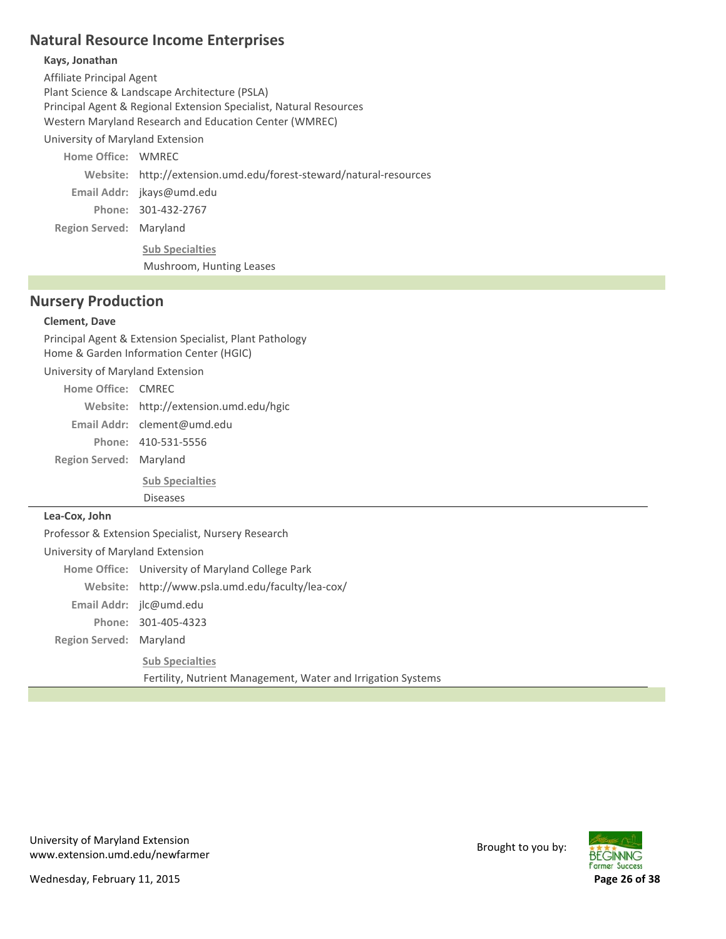# **Natural Resource Income Enterprises**

### **Kays, Jonathan**

Affiliate Principal Agent Plant Science & Landscape Architecture (PSLA) Principal Agent & Regional Extension Specialist, Natural Resources Western Maryland Research and Education Center (WMREC)

University of Maryland Extension

**Region Served: Maryland Home Office: WMREC** http://extension.umd.edu/forest‐steward/natural‐resources **Website:** Email Addr: jkays@umd.edu 301‐432‐2767 **Phone: Sub Specialties** Mushroom, Hunting Leases

## **Nursery Production**

### **Clement, Dave**

Principal Agent & Extension Specialist, Plant Pathology Home & Garden Information Center (HGIC) University of Maryland Extension

| Home Office: CMRFC      |                                        |
|-------------------------|----------------------------------------|
|                         | Website: http://extension.umd.edu/hgic |
|                         | Email Addr: clement@umd.edu            |
|                         | Phone: 410-531-5556                    |
| Region Served: Maryland |                                        |
|                         | <b>Sub Specialties</b>                 |
|                         | <b>Diseases</b>                        |

### **Lea‐Cox, John**

**Region Served: Maryland** Professor & Extension Specialist, Nursery Research University of Maryland Extension Home Office: University of Maryland College Park Website: http://www.psla.umd.edu/faculty/lea-cox/ Email Addr: jlc@umd.edu 301‐405‐4323 **Phone: Sub Specialties** Fertility, Nutrient Management, Water and Irrigation Systems

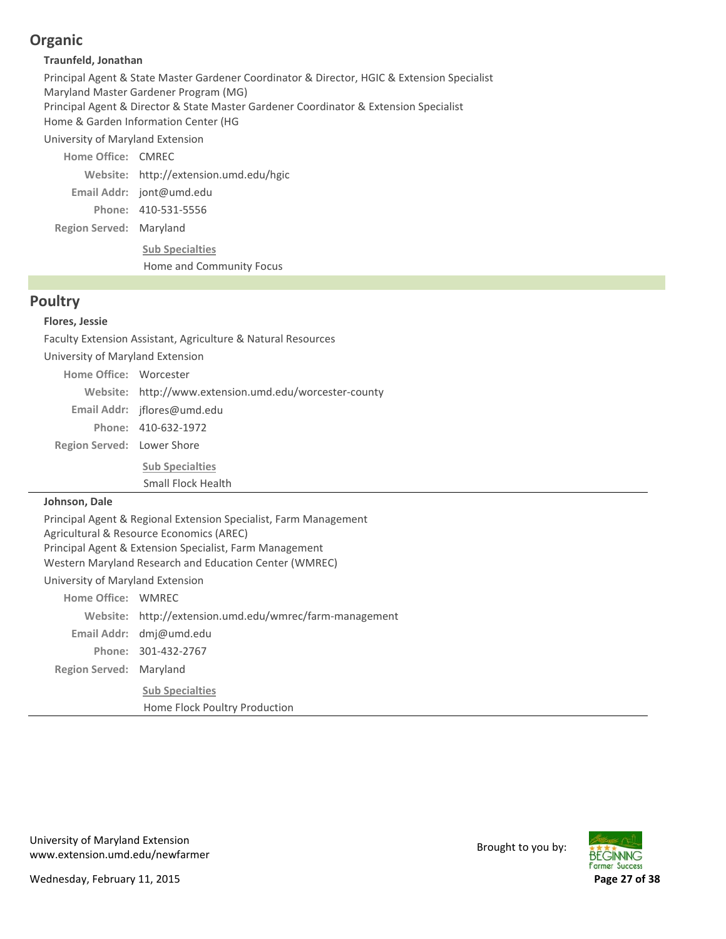# **Organic**

### **Traunfeld, Jonathan**

Principal Agent & State Master Gardener Coordinator & Director, HGIC & Extension Specialist Maryland Master Gardener Program (MG) Principal Agent & Director & State Master Gardener Coordinator & Extension Specialist Home & Garden Information Center (HG

University of Maryland Extension

**Region Served: Maryland** Home Office: CMREC http://extension.umd.edu/hgic **Website:** Email Addr: jont@umd.edu 410‐531‐5556 **Phone: Sub Specialties** Home and Community Focus

## **Poultry**

### **Flores, Jessie**

Faculty Extension Assistant, Agriculture & Natural Resources

University of Maryland Extension Home Office: Worcester

Website: http://www.extension.umd.edu/worcester-county

jflores@umd.edu **Email Addr:** 410‐632‐1972 **Phone:**

Region Served: Lower Shore

**Sub Specialties**

Small Flock Health

### **Johnson, Dale**

Principal Agent & Regional Extension Specialist, Farm Management Agricultural & Resource Economics (AREC) Principal Agent & Extension Specialist, Farm Management Western Maryland Research and Education Center (WMREC)

## University of Maryland Extension

| Home Office: WMREC      |                                                         |
|-------------------------|---------------------------------------------------------|
|                         | Website: http://extension.umd.edu/wmrec/farm-management |
|                         | Email Addr: $dm \omega$ umd.edu                         |
|                         | Phone: 301-432-2767                                     |
| Region Served: Maryland |                                                         |
|                         | <b>Sub Specialties</b>                                  |
|                         | Home Flock Poultry Production                           |

University of Maryland Extension oniversity of waryland Extension<br>www.extension.umd.edu/newfarmer Brought to you by:

Wednesday, February 11, 2015 **Page 27 of 38**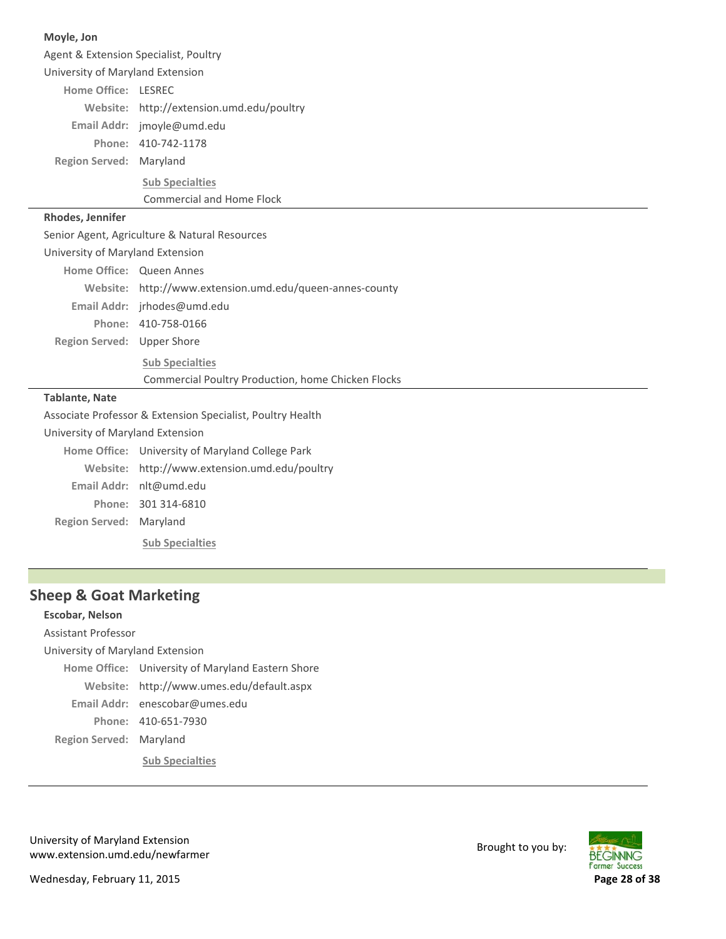| Moyle, Jon                       |                                                            |  |  |
|----------------------------------|------------------------------------------------------------|--|--|
|                                  | Agent & Extension Specialist, Poultry                      |  |  |
|                                  | University of Maryland Extension                           |  |  |
| Home Office: LESREC              |                                                            |  |  |
|                                  | Website: http://extension.umd.edu/poultry                  |  |  |
|                                  | Email Addr: jmoyle@umd.edu                                 |  |  |
|                                  | Phone: 410-742-1178                                        |  |  |
| Region Served: Maryland          |                                                            |  |  |
|                                  | <b>Sub Specialties</b>                                     |  |  |
|                                  | <b>Commercial and Home Flock</b>                           |  |  |
| Rhodes, Jennifer                 |                                                            |  |  |
|                                  | Senior Agent, Agriculture & Natural Resources              |  |  |
| University of Maryland Extension |                                                            |  |  |
|                                  | Home Office: Queen Annes                                   |  |  |
|                                  | Website: http://www.extension.umd.edu/queen-annes-county   |  |  |
|                                  | Email Addr: jrhodes@umd.edu                                |  |  |
|                                  | Phone: 410-758-0166                                        |  |  |
| Region Served: Upper Shore       |                                                            |  |  |
|                                  | <b>Sub Specialties</b>                                     |  |  |
|                                  | Commercial Poultry Production, home Chicken Flocks         |  |  |
| <b>Tablante, Nate</b>            |                                                            |  |  |
|                                  | Associate Professor & Extension Specialist, Poultry Health |  |  |
| University of Maryland Extension |                                                            |  |  |
|                                  | Home Office: University of Maryland College Park           |  |  |
|                                  | Website: http://www.extension.umd.edu/poultry              |  |  |
|                                  | Email Addr: nlt@umd.edu                                    |  |  |
|                                  | Phone: 301 314-6810                                        |  |  |
| Region Served: Maryland          |                                                            |  |  |
|                                  | <b>Sub Specialties</b>                                     |  |  |

# **Sheep & Goat Marketing**

 $\overline{a}$ 

| Escobar, Nelson                  |                                                   |  |
|----------------------------------|---------------------------------------------------|--|
| Assistant Professor              |                                                   |  |
| University of Maryland Extension |                                                   |  |
|                                  | Home Office: University of Maryland Eastern Shore |  |
|                                  | Website: http://www.umes.edu/default.aspx         |  |
|                                  | Email Addr: enescobar@umes.edu                    |  |
|                                  | Phone: 410-651-7930                               |  |
| Region Served: Maryland          |                                                   |  |
|                                  | <b>Sub Specialties</b>                            |  |

University of Maryland Extension University of Maryland Extension<br>www.extension.umd.edu/newfarmer Brought to you by:

Wednesday, February 11, 2015 **Page 28 of 38**

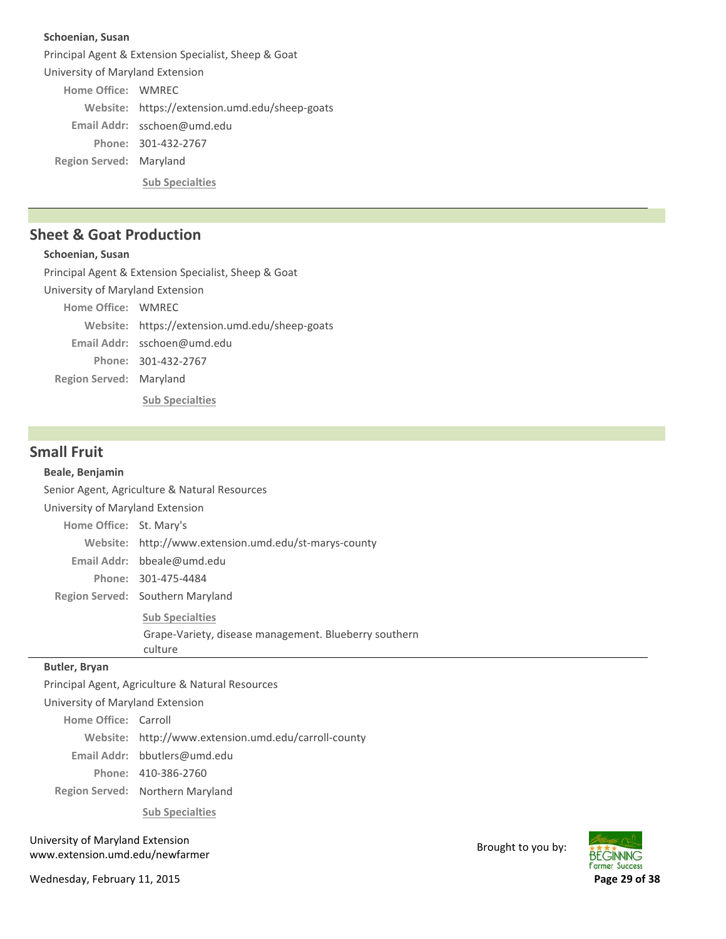#### **Schoenian, Susan**

**Region Served: Maryland** Principal Agent & Extension Specialist, Sheep & Goat University of Maryland Extension Home Office: WMREC Website: https://extension.umd.edu/sheep-goats sschoen@umd.edu **Email Addr:** 301‐432‐2767 **Phone: Sub Specialties**

## **Sheet & Goat Production**

### **Schoenian, Susan**

**Region Served: Maryland** Principal Agent & Extension Specialist, Sheep & Goat University of Maryland Extension Home Office: WMREC Website: https://extension.umd.edu/sheep-goats sschoen@umd.edu **Email Addr:** 301‐432‐2767 **Phone:**

**Sub Specialties**

### **Small Fruit**

#### **Beale, Benjamin**

Senior Agent, Agriculture & Natural Resources

University of Maryland Extension

| Home Office: St. Mary's |                                                       |
|-------------------------|-------------------------------------------------------|
|                         | Website: http://www.extension.umd.edu/st-marys-county |
|                         | Email Addr: bbeale@umd.edu                            |
|                         | Phone: 301-475-4484                                   |
|                         | Region Served: Southern Maryland                      |

**Sub Specialties** Grape‐Variety, disease management. Blueberry southern culture

#### **Butler, Bryan**

Principal Agent, Agriculture & Natural Resources

University of Maryland Extension

**Home Office: Carroll** 

http://www.extension.umd.edu/carroll‐county **Website:**

bbutlers@umd.edu **Email Addr:**

410‐386‐2760 **Phone:**

Region Served: Northern Maryland

**Sub Specialties**

University of Maryland Extension oniversity of waryland Extension<br>www.extension.umd.edu/newfarmer Brought to you by:

Wednesday, February 11, 2015 **Page 29 of 38**

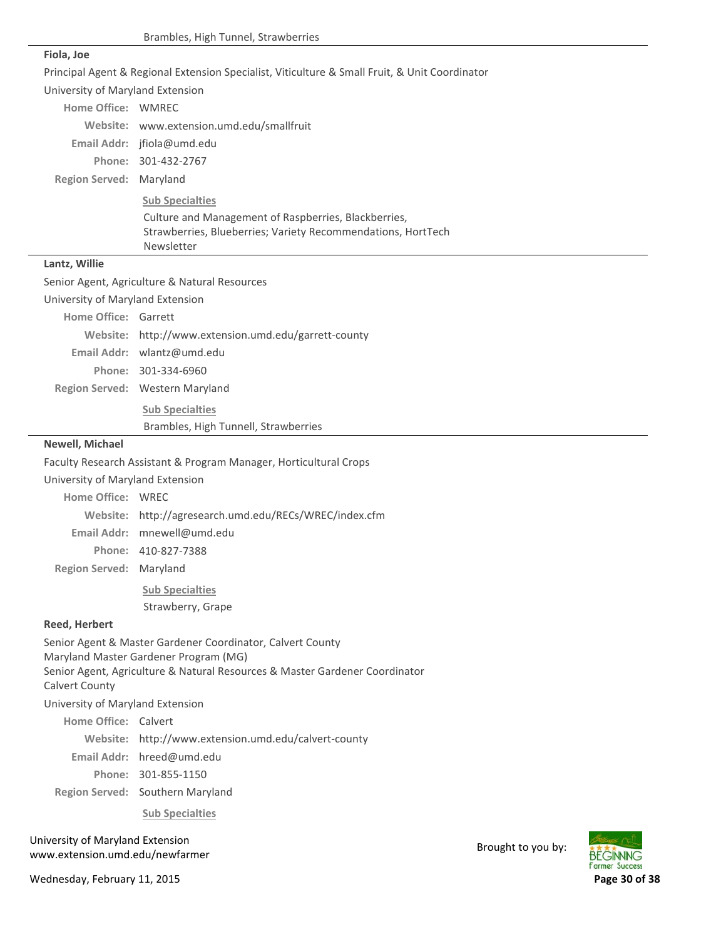#### **Fiola, Joe**

Principal Agent & Regional Extension Specialist, Viticulture & Small Fruit, & Unit Coordinator

University of Maryland Extension

| Home Office: WMRFC                                      |                                                              |
|---------------------------------------------------------|--------------------------------------------------------------|
|                                                         | Website: www.extension.umd.edu/smallfruit                    |
|                                                         | Email Addr: $ifiola@umd.edu$                                 |
|                                                         | Phone: 301-432-2767                                          |
| Region Served: Maryland                                 |                                                              |
|                                                         | <b>Sub Specialties</b>                                       |
|                                                         | Culture and Management of Raspberries, Blackberries,         |
|                                                         | Strawberries, Blueberries; Variety Recommendations, HortTech |
|                                                         | Newsletter                                                   |
| $\sim$ $\sim$ $\sim$ $\sim$ $\sim$ $\sim$ $\sim$ $\sim$ |                                                              |

#### **Lantz, Willie**

Senior Agent, Agriculture & Natural Resources

University of Maryland Extension

| Home Office: Garrett |                                                      |
|----------------------|------------------------------------------------------|
|                      | Website: http://www.extension.umd.edu/garrett-county |
|                      | Email Addr: wlantz@umd.edu                           |
|                      | Phone: 301-334-6960                                  |
|                      | Region Served: Western Maryland                      |
|                      | <b>Sub Specialties</b>                               |

Brambles, High Tunnell, Strawberries

#### **Newell, Michael**

Faculty Research Assistant & Program Manager, Horticultural Crops

University of Maryland Extension

Home Office: WREC

http://agresearch.umd.edu/RECs/WREC/index.cfm **Website:**

Email Addr: mnewell@umd.edu

410‐827‐7388 **Phone:**

**Region Served: Maryland** 

**Sub Specialties** Strawberry, Grape

#### **Reed, Herbert**

Senior Agent & Master Gardener Coordinator, Calvert County Maryland Master Gardener Program (MG) Senior Agent, Agriculture & Natural Resources & Master Gardener Coordinator Calvert County

University of Maryland Extension

Home Office: Calvert

http://www.extension.umd.edu/calvert‐county **Website:**

Email Addr: hreed@umd.edu

301‐855‐1150 **Phone:**

Region Served: Southern Maryland

**Sub Specialties**

University of Maryland Extension oniversity of waryland Extension<br>www.extension.umd.edu/newfarmer Brought to you by:

Wednesday, February 11, 2015 **Page 30 of 38**

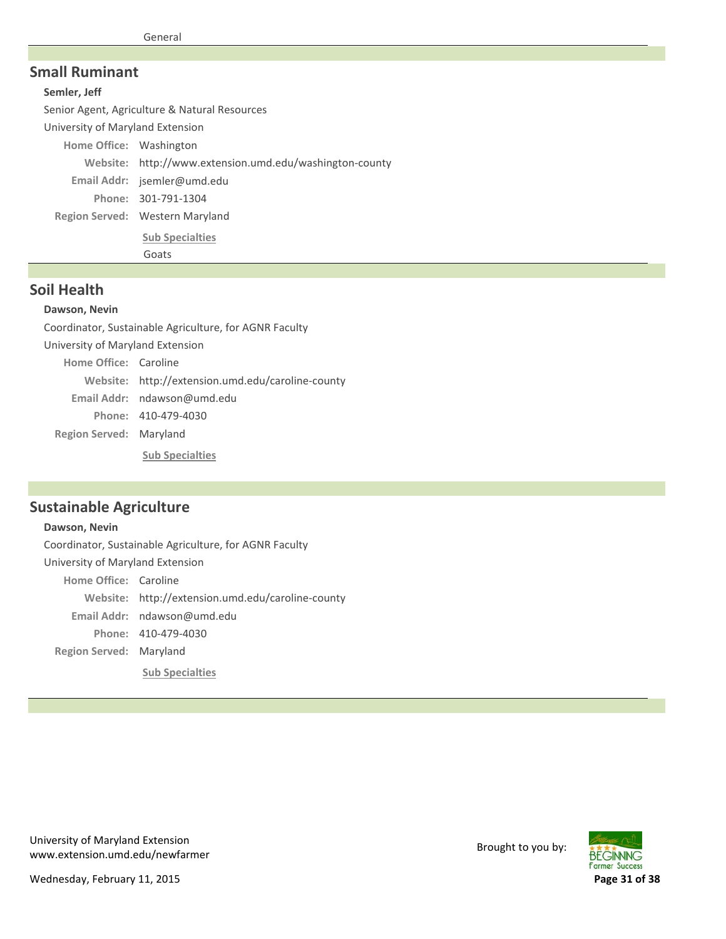### **Small Ruminant**

#### **Semler, Jeff**

Senior Agent, Agriculture & Natural Resources University of Maryland Extension Home Office: Washington

Website: http://www.extension.umd.edu/washington-county

jsemler@umd.edu **Email Addr:**

301‐791‐1304 **Phone:**

Region Served: Western Maryland

**Sub Specialties**

Goats

## **Soil Health**

#### **Dawson, Nevin**

Coordinator, Sustainable Agriculture, for AGNR Faculty University of Maryland Extension

**Region Served: Maryland** Home Office: Caroline Website: http://extension.umd.edu/caroline-county Email Addr: ndawson@umd.edu 410‐479‐4030 **Phone:**

**Sub Specialties**

## **Sustainable Agriculture**

### **Dawson, Nevin**

**Region Served: Maryland** Coordinator, Sustainable Agriculture, for AGNR Faculty University of Maryland Extension Home Office: Caroline Website: http://extension.umd.edu/caroline-county Email Addr: ndawson@umd.edu 410‐479‐4030 **Phone: Sub Specialties**

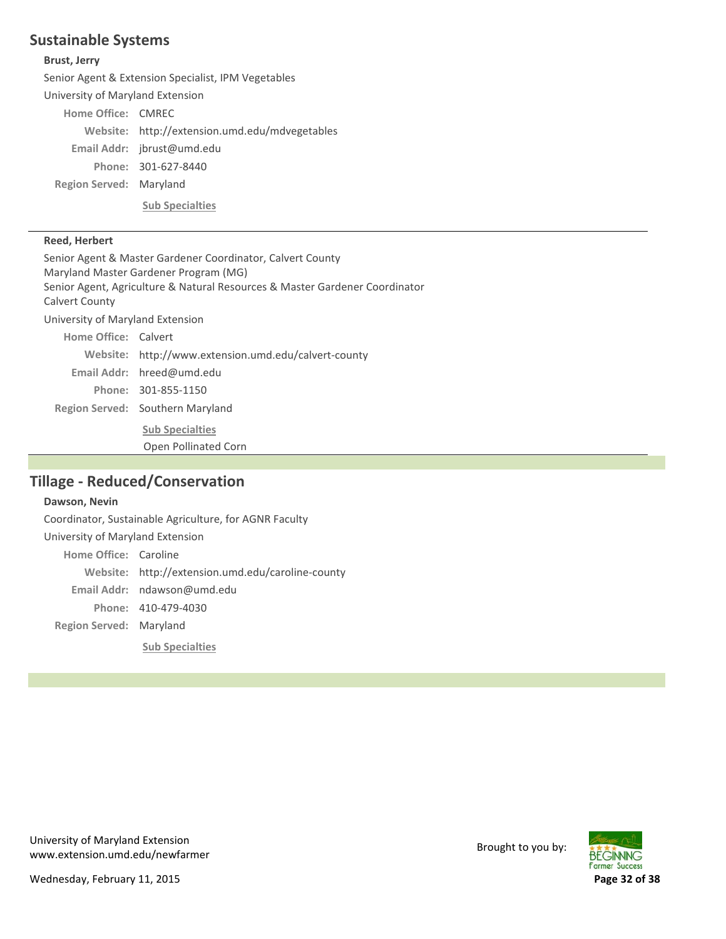# **Sustainable Systems**

#### **Brust, Jerry**

Senior Agent & Extension Specialist, IPM Vegetables

University of Maryland Extension

Home Office: CMREC

**Region Served: Maryland** Website: http://extension.umd.edu/mdvegetables Email Addr: jbrust@umd.edu 301‐627‐8440 **Phone: Sub Specialties**

#### **Reed, Herbert**

Region Served: Southern Maryland Senior Agent & Master Gardener Coordinator, Calvert County Maryland Master Gardener Program (MG) Senior Agent, Agriculture & Natural Resources & Master Gardener Coordinator Calvert County University of Maryland Extension Home Office: Calvert http://www.extension.umd.edu/calvert‐county **Website:** Email Addr: hreed@umd.edu 301‐855‐1150 **Phone: Sub Specialties** Open Pollinated Corn

# **Tillage ‐ Reduced/Conservation**

### **Dawson, Nevin**

**Region Served: Maryland** Coordinator, Sustainable Agriculture, for AGNR Faculty University of Maryland Extension Home Office: Caroline http://extension.umd.edu/caroline‐county **Website:** Email Addr: ndawson@umd.edu 410‐479‐4030 **Phone: Sub Specialties**



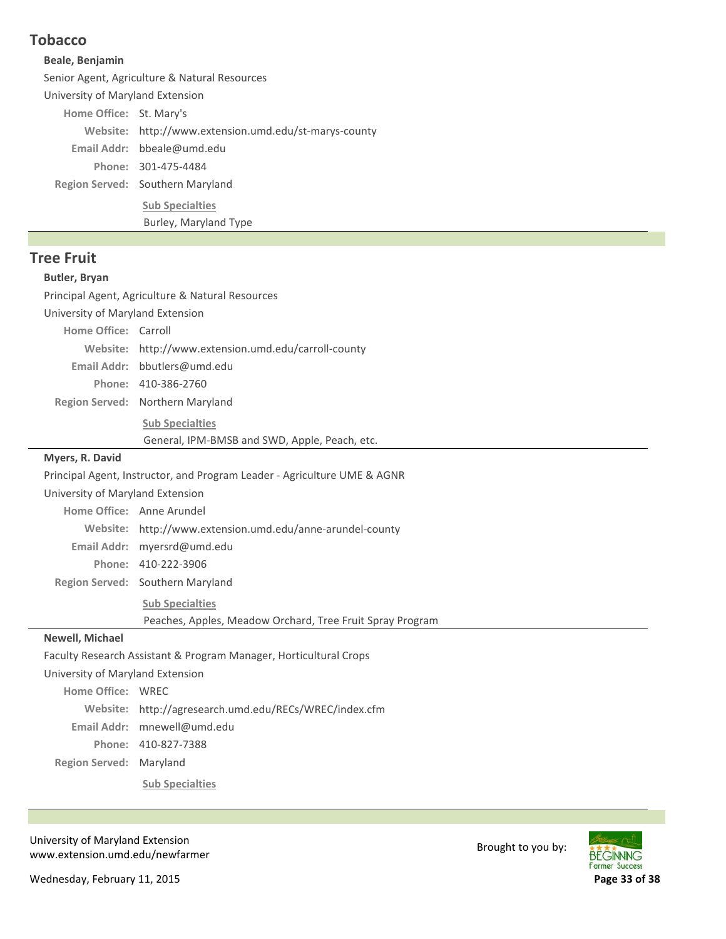# **Tobacco**

#### **Beale, Benjamin**

Senior Agent, Agriculture & Natural Resources

University of Maryland Extension

Home Office: St. Mary's

Website: http://www.extension.umd.edu/st-marys-county

bbeale@umd.edu **Email Addr:**

301‐475‐4484 **Phone:**

Region Served: Southern Maryland

**Sub Specialties**

Burley, Maryland Type

## **Tree Fruit**

### **Butler, Bryan**

Principal Agent, Agriculture & Natural Resources

University of Maryland Extension

Home Office: Carroll

Website: http://www.extension.umd.edu/carroll-county

bbutlers@umd.edu **Email Addr:**

410‐386‐2760 **Phone:**

Region Served: Northern Maryland

**Sub Specialties**

General, IPM‐BMSB and SWD, Apple, Peach, etc.

### **Myers, R. David**

Principal Agent, Instructor, and Program Leader ‐ Agriculture UME & AGNR

University of Maryland Extension

| Home Office: Anne Arundel                                 |
|-----------------------------------------------------------|
| Website: http://www.extension.umd.edu/anne-arundel-county |
| Email Addr: myersrd@umd.edu                               |
| Phone: 410-222-3906                                       |
| Region Served: Southern Maryland                          |
| <b>Sub Specialties</b>                                    |

Peaches, Apples, Meadow Orchard, Tree Fruit Spray Program

### **Newell, Michael**

Faculty Research Assistant & Program Manager, Horticultural Crops

University of Maryland Extension

**Region Served: Maryland** Home Office: WREC http://agresearch.umd.edu/RECs/WREC/index.cfm **Website:** Email Addr: mnewell@umd.edu 410‐827‐7388 **Phone: Sub Specialties**

University of Maryland Extension oniversity of waryland Extension<br>www.extension.umd.edu/newfarmer Brought to you by:

**BEGINNING** Farmer Success

Wednesday, February 11, 2015 **Page 33 of 38**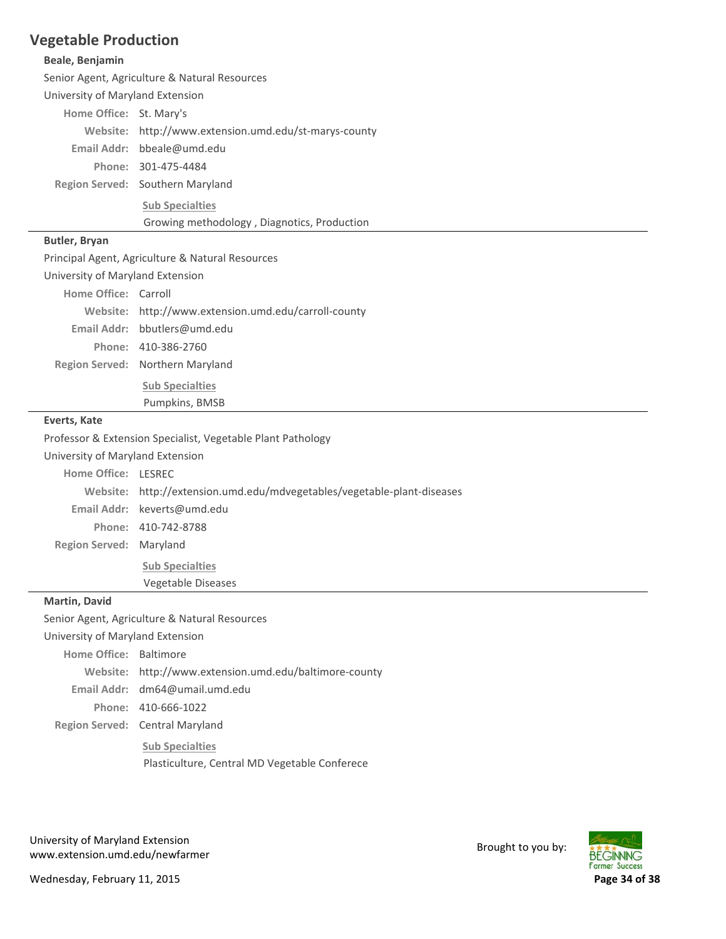## **Vegetable Production**

#### **Beale, Benjamin**

Senior Agent, Agriculture & Natural Resources

University of Maryland Extension

Home Office: St. Mary's

Website: http://www.extension.umd.edu/st-marys-county

bbeale@umd.edu **Email Addr:**

301‐475‐4484 **Phone:**

Region Served: Southern Maryland

**Sub Specialties**

Growing methodology , Diagnotics, Production

#### **Butler, Bryan**

Principal Agent, Agriculture & Natural Resources

University of Maryland Extension

| Website: http://www.extension.umd.edu/carroll-county |
|------------------------------------------------------|
|                                                      |

bbutlers@umd.edu **Email Addr:** 410‐386‐2760 **Phone:**

Region Served: Northern Maryland

**Sub Specialties** Pumpkins, BMSB

#### **Everts, Kate**

Professor & Extension Specialist, Vegetable Plant Pathology

University of Maryland Extension

**Region Served: Maryland Home Office: LESREC** http://extension.umd.edu/mdvegetables/vegetable‐plant‐diseases **Website:** keverts@umd.edu **Email Addr:** 410‐742‐8788 **Phone: Sub Specialties**

Vegetable Diseases

#### **Martin, David**

Senior Agent, Agriculture & Natural Resources

University of Maryland Extension

Region Served: Central Maryland Home Office: Baltimore Website: http://www.extension.umd.edu/baltimore-county dm64@umail.umd.edu **Email Addr:** 410‐666‐1022 **Phone: Sub Specialties** Plasticulture, Central MD Vegetable Conferece

University of Maryland Extension oniversity of waryland Extension<br>www.extension.umd.edu/newfarmer Brought to you by:



Wednesday, February 11, 2015 **Page 34 of 38**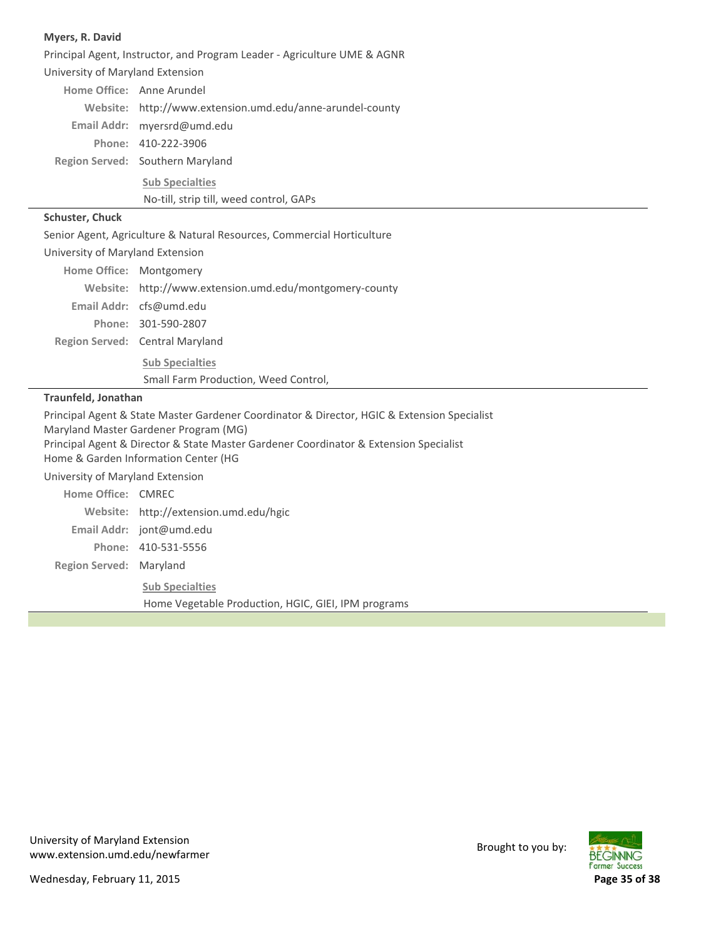#### **Myers, R. David**

Region Served: Southern Maryland Principal Agent, Instructor, and Program Leader ‐ Agriculture UME & AGNR University of Maryland Extension Home Office: Anne Arundel http://www.extension.umd.edu/anne‐arundel‐county **Website:** myersrd@umd.edu **Email Addr:** 410‐222‐3906 **Phone: Sub Specialties**

No‐till, strip till, weed control, GAPs

#### **Schuster, Chuck**

Senior Agent, Agriculture & Natural Resources, Commercial Horticulture

| University of Maryland Extension |                                                                |  |
|----------------------------------|----------------------------------------------------------------|--|
| Home Office: Montgomery          |                                                                |  |
|                                  | Website: http://www.extension.umd.edu/montgomery-county        |  |
|                                  | Email Addr: cfs@umd.edu                                        |  |
|                                  | Phone: 301-590-2807                                            |  |
|                                  | Region Served: Central Maryland                                |  |
|                                  | <b>Sub Specialties</b><br>Small Farm Production, Weed Control, |  |

#### **Traunfeld, Jonathan**

**Region Served: Maryland** Principal Agent & State Master Gardener Coordinator & Director, HGIC & Extension Specialist Maryland Master Gardener Program (MG) Principal Agent & Director & State Master Gardener Coordinator & Extension Specialist Home & Garden Information Center (HG University of Maryland Extension Home Office: CMREC Website: http://extension.umd.edu/hgic Email Addr: jont@umd.edu 410‐531‐5556 **Phone: Sub Specialties** Home Vegetable Production, HGIC, GIEI, IPM programs

University of Maryland Extension oniversity of waryland Extension<br>www.extension.umd.edu/newfarmer Brought to you by:

**BEGINNING Former Success** 

Wednesday, February 11, 2015 **Page 35 of 38**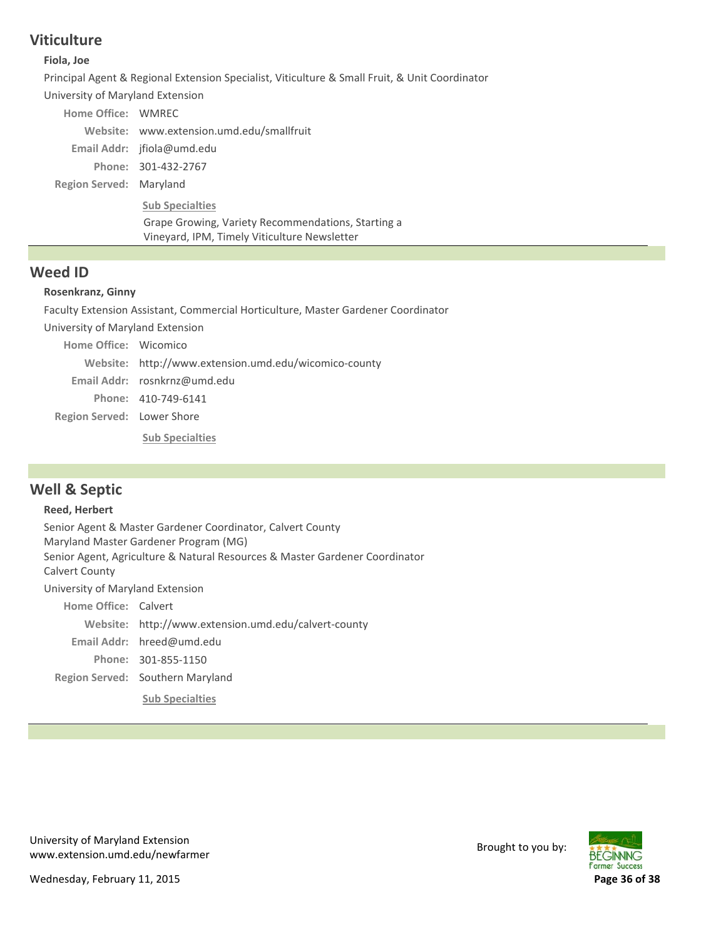## **Viticulture**

#### **Fiola, Joe**

Principal Agent & Regional Extension Specialist, Viticulture & Small Fruit, & Unit Coordinator

University of Maryland Extension

| Home Office: WMREC      |                                           |
|-------------------------|-------------------------------------------|
|                         | Website: www.extension.umd.edu/smallfruit |
|                         | Email Addr: $ifiola@umd.edu$              |
|                         | Phone: 301-432-2767                       |
| Region Served: Maryland |                                           |
|                         | <b>Sub Specialties</b>                    |

Grape Growing, Variety Recommendations, Starting a Vineyard, IPM, Timely Viticulture Newsletter

## **Weed ID**

#### **Rosenkranz, Ginny**

Faculty Extension Assistant, Commercial Horticulture, Master Gardener Coordinator

University of Maryland Extension

| Home Office: Wicomico      |                                                       |
|----------------------------|-------------------------------------------------------|
|                            | Website: http://www.extension.umd.edu/wicomico-county |
|                            | Email Addr: rosnkrnz@umd.edu                          |
|                            | Phone: 410-749-6141                                   |
| Region Served: Lower Shore |                                                       |
|                            | <b>Sub Specialties</b>                                |

# **Well & Septic**

#### **Reed, Herbert**

Senior Agent & Master Gardener Coordinator, Calvert County Maryland Master Gardener Program (MG) Senior Agent, Agriculture & Natural Resources & Master Gardener Coordinator Calvert County University of Maryland Extension Home Office: Calvert http://www.extension.umd.edu/calvert‐county **Website:**

Email Addr: hreed@umd.edu

Region Served: Southern Maryland 301‐855‐1150 **Phone:**

**Sub Specialties**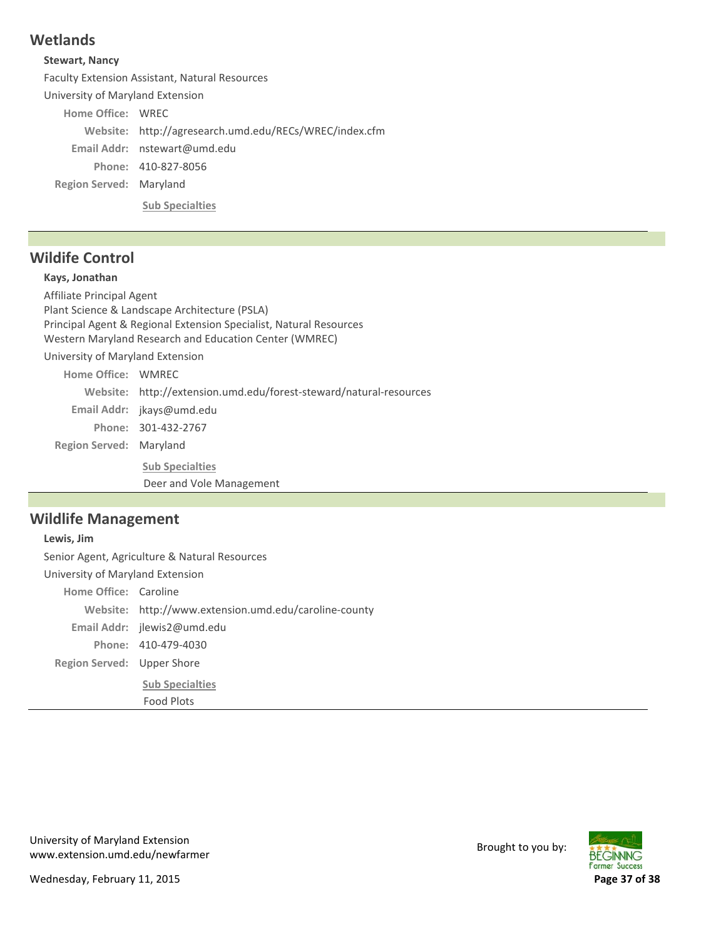# **Wetlands**

### **Stewart, Nancy**

Faculty Extension Assistant, Natural Resources

University of Maryland Extension

Home Office: WREC

http://agresearch.umd.edu/RECs/WREC/index.cfm **Website:**

nstewart@umd.edu **Email Addr:**

410‐827‐8056 **Phone:**

**Region Served: Maryland** 

**Sub Specialties**

# **Wildife Control**

### **Kays, Jonathan**

**Region Served: Maryland** Affiliate Principal Agent Plant Science & Landscape Architecture (PSLA) Principal Agent & Regional Extension Specialist, Natural Resources Western Maryland Research and Education Center (WMREC) University of Maryland Extension Home Office: WMREC http://extension.umd.edu/forest‐steward/natural‐resources **Website:** Email Addr: jkays@umd.edu 301‐432‐2767 **Phone: Sub Specialties** Deer and Vole Management

## **Wildlife Management**

Region Served: Upper Shore **Lewis, Jim** Senior Agent, Agriculture & Natural Resources University of Maryland Extension Home Office: Caroline http://www.extension.umd.edu/caroline‐county **Website:** Email Addr: jlewis2@umd.edu 410‐479‐4030 **Phone: Sub Specialties** Food Plots